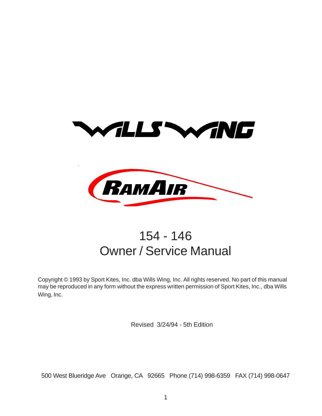



## 154 - 146 Owner / Service Manual

Copyright © 1993 by Sport Kites, Inc. dba Wills Wing, Inc. All rights reserved. No part of this manual may be reproduced in any form without the express written permission of Sport Kites, Inc., dba Wills Wing, Inc.

Revised 3/24/94 - 5th Edition

500 West Blueridge Ave Orange, CA 92665 Phone (714) 998-6359 FAX (714) 998-0647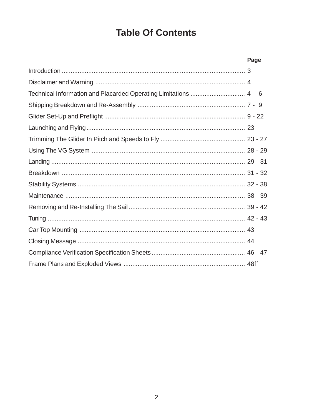## **Table Of Contents**

|                                                                  | Page |  |
|------------------------------------------------------------------|------|--|
|                                                                  |      |  |
|                                                                  |      |  |
| Technical Information and Placarded Operating Limitations  4 - 6 |      |  |
|                                                                  |      |  |
|                                                                  |      |  |
|                                                                  |      |  |
|                                                                  |      |  |
|                                                                  |      |  |
|                                                                  |      |  |
|                                                                  |      |  |
|                                                                  |      |  |
|                                                                  |      |  |
|                                                                  |      |  |
|                                                                  |      |  |
|                                                                  |      |  |
|                                                                  |      |  |
|                                                                  |      |  |
|                                                                  |      |  |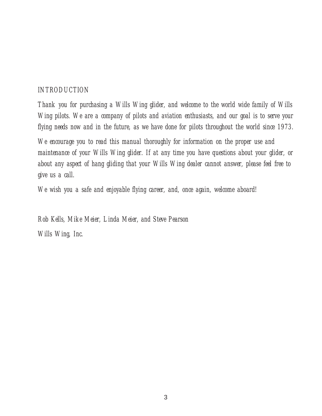#### *INTRODUCTION*

*Thank you for purchasing a Wills Wing glider, and welcome to the world wide family of Wills Wing pilots. We are a company of pilots and aviation enthusiasts, and our goal is to serve your flying needs now and in the future, as we have done for pilots throughout the world since 1973.*

*We encourage you to read this manual thoroughly for information on the proper use and maintenance of your Wills Wing glider. If at any time you have questions about your glider, or about any aspect of hang gliding that your Wills Wing dealer cannot answer, please feel free to give us a call.*

*We wish you a safe and enjoyable flying career, and, once again, welcome aboard!*

*Rob Kells, Mike Meier, Linda Meier, and Steve Pearson Wills Wing, Inc.*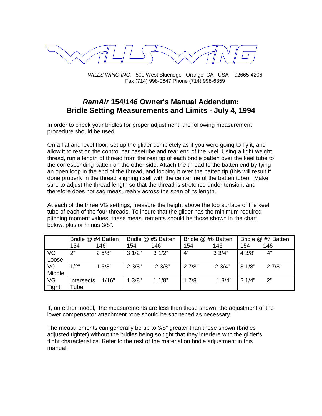

WILLS WING INC. 500 West Blueridge Orange CA USA 92665-4206 Fax (714) 998-0647 Phone (714) 998-6359

#### **RamAir 154/146 Owner's Manual Addendum: Bridle Setting Measurements and Limits - July 4, 1994**

In order to check your bridles for proper adjustment, the following measurement procedure should be used:

On a flat and level floor, set up the glider completely as if you were going to fly it, and allow it to rest on the control bar basetube and rear end of the keel. Using a light weight thread, run a length of thread from the rear tip of each bridle batten over the keel tube to the corresponding batten on the other side. Attach the thread to the batten end by tying an open loop in the end of the thread, and looping it over the batten tip (this will result if done properly in the thread aligning itself with the centerline of the batten tube). Make sure to adjust the thread length so that the thread is stretched under tension, and therefore does not sag measureably across the span of its length.

At each of the three VG settings, measure the height above the top surface of the keel tube of each of the four threads. To insure that the glider has the minimum required pitching moment values, these measurements should be those shown in the chart below, plus or minus 3/8".

|              |            | Bridle @ #4 Batten |       | Bridle @ #5 Batten | Bridle @ #6 Batten |                 |        | Bridle @ #7 Batten |
|--------------|------------|--------------------|-------|--------------------|--------------------|-----------------|--------|--------------------|
|              | 154        | 146                | 154   | 146                | 154                | 146             | 154    | 146                |
| VG           | 2"         | 25/8"              | 31/2" | 31/2"              | 4"                 | 33/4"           | 4 3/8" | 4"                 |
| Loose        |            |                    |       |                    |                    |                 |        |                    |
| VG           | 1/2"       | 13/8"              | 23/8" | 23/8"              | 27/8"              | $2 \frac{3}{4}$ | 31/8"  | 27/8"              |
| Middle       |            |                    |       |                    |                    |                 |        |                    |
| VG           | Intersects | 1/16"              | 13/8" | 11/8"              | 17/8"              | 13/4"           | 21/4"  | 2"                 |
| <b>Tight</b> | Tube       |                    |       |                    |                    |                 |        |                    |

If, on either model, the measurements are less than those shown, the adjustment of the lower compensator attachment rope should be shortened as necessary.

The measurements can generally be up to 3/8" greater than those shown (bridles adjusted tighter) without the bridles being so tight that they interfere with the glider's flight characteristics. Refer to the rest of the material on bridle adjustment in this manual.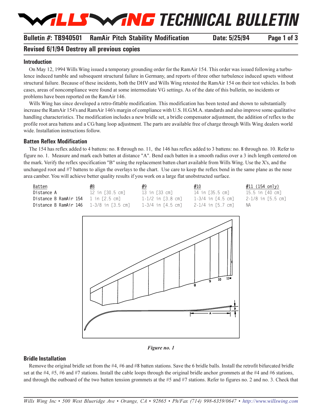# *TECHNICAL BULLETIN*

#### **Bulletin #: TB940501 RamAir Pitch Stability Modification Date: 5/25/94 Page 1 of 3**

#### **Revised 6/1/94 Destroy all previous copies**

#### **Introduction**

On May 12, 1994 Wills Wing issued a temporary grounding order for the RamAir 154. This order was issued following a turbulence induced tumble and subsequent structural failure in Germany, and reports of three other turbulence induced upsets without structural failure. Because of these incidents, both the DHV and Wills Wing retested the RamAir 154 on their test vehicles. In both cases, areas of noncompliance were found at some intermediate VG settings. As of the date of this bulletin, no incidents or problems have been reported on the RamAir 146.

Wills Wing has since developed a retro-fittable modification. This modification has been tested and shown to substantially increase the RamAir 154's and RamAir 146's margin of compliance with U.S. H.G.M.A. standards and also improve some qualitative handling characteristics. The modification includes a new bridle set, a bridle compensator adjustment, the addition of reflex to the profile root area battens and a CG/hang loop adjustment. The parts are available free of charge through Wills Wing dealers world wide. Installation instructions follow.

#### **Batten Reflex Modification**

The 154 has reflex added to 4 battens: no. 8 through no. 11, the 146 has reflex added to 3 battens: no. 8 through no. 10. Refer to figure no. 1. Measure and mark each batten at distance "A". Bend each batten in a smooth radius over a 3 inch length centered on the mark. Verify the reflex specification "B" using the replacement batten chart available from Wills Wing. Use the X's, and the unchanged root and #7 battens to align the overlays to the chart. Use care to keep the reflex bend in the same plane as the nose area camber. You will achieve better quality results if you work on a large flat unobstructed surface.

| Batten                                         | #8              | #9                | #10               | #11 (154 only)    |
|------------------------------------------------|-----------------|-------------------|-------------------|-------------------|
| Distance A                                     | 12 in [30.5 cm] | 13 in [33 cm]     | 14 in [35.5 cm]   | 15.5 in [40 cm]   |
| Distance B RamAir 154                          | 1 in [2.5 cm]   | 1-1/2 in [3.8 cm] | 1-3/4 in [4.5 cm] | 2-1/8 in [5.5 cm] |
| <b>Distance B RamAir 146</b> 1-3/8 in [3.5 cm] |                 | 1-3/4 in [4.5 cm] | 2-1/4 in [5.7 cm] |                   |





#### **Bridle Installation**

Remove the original bridle set from the #4, #6 and #8 batten stations. Save the 6 bridle balls. Install the retrofit bifurcated bridle set at the  $\#4$ ,  $\#5$ ,  $\#6$  and  $\#7$  stations. Install the cable loops through the original bridle anchor grommets at the  $\#4$  and  $\#6$  stations, and through the outboard of the two batten tension grommets at the #5 and #7 stations. Refer to figures no. 2 and no. 3. Check that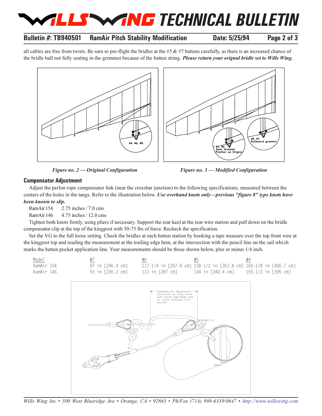## *TECHNICAL BULLETIN*

#### **Bulletin #: TB940501 RamAir Pitch Stability Modification Date: 5/25/94 Page 2 of 3**

all cables are free from twists. Be sure to pre-flight the bridles at the #5  $\&$  #7 battens carefully, as there is an increased chance of the bridle ball not fully seating in the grommet because of the batten string. *Please return your orignal bridle set to Wills Wing.*



*Figure no. 2 Original Configuration Figure no. 3 Modified Configuration*

#### **Compensator Adjustment**

Adjust the perlon rope compensator link (near the crossbar junction) to the following specifications, measured between the centers of the holes in the tangs. Refer to the illustration below. *Use overhand knots only—previous "figure 8" type knots have been known to slip.*

RamAir 154 2.75 inches / 7.0 cms

RamAir 146 4.75 inches / 12.0 cms

Tighten both knots firmly, using pliers if necessary. Support the rear keel at the rear wire station and pull down on the bridle compensator clip at the top of the kingpost with 50-75 lbs of force. Recheck the specification.

Set the VG to the full loose setting. Check the bridles at each batten station by hooking a tape measure over the top front wire at the kingpost top and reading the measurement at the trailing edge hem, at the intersection with the pencil line on the sail whi ch marks the batten pocket application line. Your measurements should be those shown below, plus or minus 1/4 inch.





*Wills Wing Inc 500 West Blueridge Ave Orange, CA 92865 Ph/Fax (714) 998-6359/0647 [http://www.willswing.com](http://www.willswing.com/)*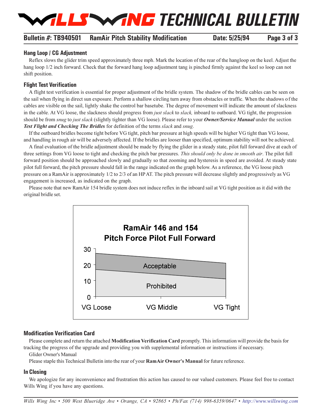

#### **Bulletin #: TB940501 RamAir Pitch Stability Modification Date: 5/25/94 Page 3 of 3**

#### **Hang Loop / CG Adjustment**

Reflex slows the glider trim speed approximately three mph. Mark the location of the rear of the hangloop on the keel. Adjust the hang loop  $1/2$  inch forward. Check that the forward hang loop adjustment tang is pinched firmly against the keel so loop can not shift position.

#### **Flight Test Verification**

A flight test verification is essential for proper adjustment of the bridle system. The shadow of the bridle cables can be seen on the sail when flying in direct sun exposure. Perform a shallow circling turn away from obstacles or traffic. When the shadows of the cables are visible on the sail, lightly shake the control bar basetube. The degree of movement will indicate the amount of slackness in the cable. At VG loose, the slackness should progress from *just slack* to *slack,* inboard to outboard. VG tight, the progression should be from *snug* to *just slack* (slightly tighter than VG loose). Please refer to your *Owner/Service Manual* under the section *Test Flight and Checking The Bridles* for definition of the terms *slack* and *snug*.

If the outboard bridles become tight before VG tight, pitch bar pressure at high speeds will be higher VG tight than VG loose, and handling in rough air will be adversely affected. If the bridles are looser than specified, optimum stability will not be achieved.

A final evaluation of the bridle adjustment should be made by flying the glider in a steady state, pilot full forward dive at each of three settings from VG loose to tight and checking the pitch bar pressures. *This should only be done in smooth air*. The pilot full forward position should be approached slowly and gradually so that zooming and hysteresis in speed are avoided. At steady state pilot full forward, the pitch pressure should fall in the range indicated on the graph below. As a reference, the VG loose pitch pressure on a RamAir is approximately 1/2 to 2/3 of an HP AT. The pitch pressure will decrease slightly and progressively as VG engagement is increased, as indicated on the graph.

Please note that new RamAir 154 bridle system does not induce reflex in the inboard sail at VG tight position as it did with the original bridle set.



#### **Modification Verification Card**

Please complete and return the attached **Modification Verification Card** promptly. This information will provide the basis for tracking the progress of the upgrade and providing you with supplemental information or instructions if necessary.

Glider Owner's Manual

Please staple this Technical Bulletin into the rear of your **RamAir Owner's Manual** for future reference.

#### **In Closing**

We apologize for any inconvenience and frustration this action has caused to our valued customers. Please feel free to contact Wills Wing if you have any questions.

*Wills Wing Inc 500 West Blueridge Ave Orange, CA 92865 Ph/Fax (714) 998-6359/0647 [http://www.willswing.com](http://www.willswing.com/)*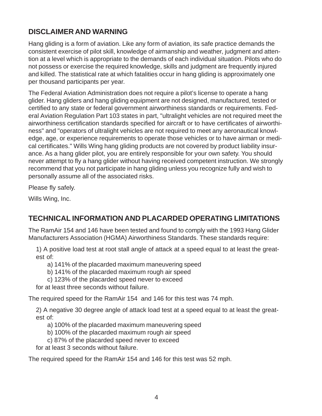### **DISCLAIMER AND WARNING**

Hang gliding is a form of aviation. Like any form of aviation, its safe practice demands the consistent exercise of pilot skill, knowledge of airmanship and weather, judgment and attention at a level which is appropriate to the demands of each individual situation. Pilots who do not possess or exercise the required knowledge, skills and judgment are frequently injured and killed. The statistical rate at which fatalities occur in hang gliding is approximately one per thousand participants per year.

The Federal Aviation Administration does not require a pilot's license to operate a hang glider. Hang gliders and hang gliding equipment are not designed, manufactured, tested or certified to any state or federal government airworthiness standards or requirements. Federal Aviation Regulation Part 103 states in part, "ultralight vehicles are not required meet the airworthiness certification standards specified for aircraft or to have certificates of airworthiness" and "operators of ultralight vehicles are not required to meet any aeronautical knowledge, age, or experience requirements to operate those vehicles or to have airman or medical certificates." Wills Wing hang gliding products are not covered by product liability insurance. As a hang glider pilot, you are entirely responsible for your own safety. You should never attempt to fly a hang glider without having received competent instruction. We strongly recommend that you not participate in hang gliding unless you recognize fully and wish to personally assume all of the associated risks.

Please fly safely.

Wills Wing, Inc.

## **TECHNICAL INFORMATION AND PLACARDED OPERATING LIMITATIONS**

The RamAir 154 and 146 have been tested and found to comply with the 1993 Hang Glider Manufacturers Association (HGMA) Airworthiness Standards. These standards require:

1) A positive load test at root stall angle of attack at a speed equal to at least the greatest of:

- a) 141% of the placarded maximum maneuvering speed
- b) 141% of the placarded maximum rough air speed
- c) 123% of the placarded speed never to exceed

for at least three seconds without failure.

The required speed for the RamAir 154 and 146 for this test was 74 mph.

2) A negative 30 degree angle of attack load test at a speed equal to at least the greatest of:

- a) 100% of the placarded maximum maneuvering speed
- b) 100% of the placarded maximum rough air speed
- c) 87% of the placarded speed never to exceed

for at least 3 seconds without failure.

The required speed for the RamAir 154 and 146 for this test was 52 mph.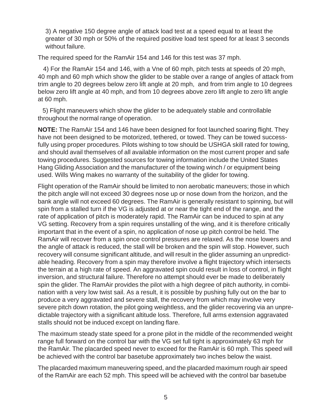3) A negative 150 degree angle of attack load test at a speed equal to at least the greater of 30 mph or 50% of the required positive load test speed for at least 3 seconds without failure.

The required speed for the RamAir 154 and 146 for this test was 37 mph.

 4) For the RamAir 154 and 146, with a Vne of 60 mph, pitch tests at speeds of 20 mph, 40 mph and 60 mph which show the glider to be stable over a range of angles of attack from trim angle to 20 degrees below zero lift angle at 20 mph, and from trim angle to 10 degrees below zero lift angle at 40 mph, and from 10 degrees above zero lift angle to zero lift angle at 60 mph.

 5) Flight maneuvers which show the glider to be adequately stable and controllable throughout the normal range of operation.

**NOTE:** The RamAir 154 and 146 have been designed for foot launched soaring flight. They have not been designed to be motorized, tethered, or towed. They can be towed successfully using proper procedures. Pilots wishing to tow should be USHGA skill rated for towing, and should avail themselves of all available information on the most current proper and safe towing procedures. Suggested sources for towing information include the United States Hang Gliding Association and the manufacturer of the towing winch / or equipment being used. Wills Wing makes no warranty of the suitability of the glider for towing.

Flight operation of the RamAir should be limited to non aerobatic maneuvers; those in which the pitch angle will not exceed 30 degrees nose up or nose down from the horizon, and the bank angle will not exceed 60 degrees. The RamAir is generally resistant to spinning, but will spin from a stalled turn if the VG is adjusted at or near the tight end of the range, and the rate of application of pitch is moderately rapid. The RamAir can be induced to spin at any VG setting. Recovery from a spin requires unstalling of the wing, and it is therefore critically important that in the event of a spin, no application of nose up pitch control be held. The RamAir will recover from a spin once control pressures are relaxed. As the nose lowers and the angle of attack is reduced, the stall will be broken and the spin will stop. However, such recovery will consume significant altitude, and will result in the glider assuming an unpredictable heading. Recovery from a spin may therefore involve a flight trajectory which intersects the terrain at a high rate of speed. An aggravated spin could result in loss of control, in flight inversion, and structural failure. Therefore no attempt should ever be made to deliberately spin the glider. The RamAir provides the pilot with a high degree of pitch authority, in combination with a very low twist sail. As a result, it is possible by pushing fully out on the bar to produce a very aggravated and severe stall, the recovery from which may involve very severe pitch down rotation, the pilot going weightless, and the glider recovering via an unpredictable trajectory with a significant altitude loss. Therefore, full arms extension aggravated stalls should not be induced except on landing flare.

The maximum steady state speed for a prone pilot in the middle of the recommended weight range full forward on the control bar with the VG set full tight is approximately 63 mph for the RamAir. The placarded speed never to exceed for the RamAir is 60 mph. This speed will be achieved with the control bar basetube approximately two inches below the waist.

The placarded maximum maneuvering speed, and the placarded maximum rough air speed of the RamAir are each 52 mph. This speed will be achieved with the control bar basetube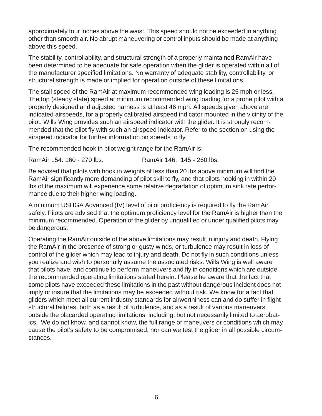approximately four inches above the waist. This speed should not be exceeded in anything other than smooth air. No abrupt maneuvering or control inputs should be made at anything above this speed.

The stability, controllability, and structural strength of a properly maintained RamAir have been determined to be adequate for safe operation when the glider is operated within all of the manufacturer specified limitations. No warranty of adequate stability, controllability, or structural strength is made or implied for operation outside of these limitations.

The stall speed of the RamAir at maximum recommended wing loading is 25 mph or less. The top (steady state) speed at minimum recommended wing loading for a prone pilot with a properly designed and adjusted harness is at least 46 mph. All speeds given above are indicated airspeeds, for a properly calibrated airspeed indicator mounted in the vicinity of the pilot. Wills Wing provides such an airspeed indicator with the glider. It is strongly recommended that the pilot fly with such an airspeed indicator. Refer to the section on using the airspeed indicator for further information on speeds to fly.

The recommended hook in pilot weight range for the RamAir is:

RamAir 154: 160 - 270 lbs. RamAir 146: 145 - 260 lbs.

Be advised that pilots with hook in weights of less than 20 lbs above minimum will find the RamAir significantly more demanding of pilot skill to fly, and that pilots hooking in within 20 lbs of the maximum will experience some relative degradation of optimum sink rate performance due to their higher wing loading.

A minimum USHGA Advanced (IV) level of pilot proficiency is required to fly the RamAir safely. Pilots are advised that the optimum proficiency level for the RamAir is higher than the minimum recommended. Operation of the glider by unqualified or under qualified pilots may be dangerous.

Operating the RamAir outside of the above limitations may result in injury and death. Flying the RamAir in the presence of strong or gusty winds, or turbulence may result in loss of control of the glider which may lead to injury and death. Do not fly in such conditions unless you realize and wish to personally assume the associated risks. Wills Wing is well aware that pilots have, and continue to perform maneuvers and fly in conditions which are outside the recommended operating limitations stated herein. Please be aware that the fact that some pilots have exceeded these limitations in the past without dangerous incident does not imply or insure that the limitations may be exceeded without risk. We know for a fact that gliders which meet all current industry standards for airworthiness can and do suffer in flight structural failures, both as a result of turbulence, and as a result of various maneuvers outside the placarded operating limitations, including, but not necessarily limited to aerobatics. We do not know, and cannot know, the full range of maneuvers or conditions which may cause the pilot's safety to be compromised, nor can we test the glider in all possible circumstances.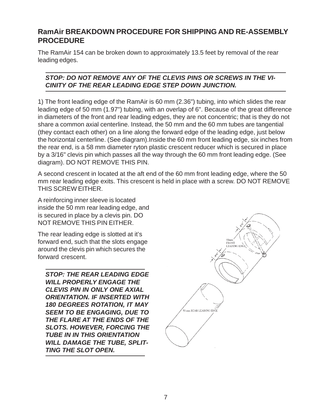#### **RamAir BREAKDOWN PROCEDURE FOR SHIPPING AND RE-ASSEMBLY PROCEDURE**

The RamAir 154 can be broken down to approximately 13.5 feet by removal of the rear leading edges.

#### *STOP: DO NOT REMOVE ANY OF THE CLEVIS PINS OR SCREWS IN THE VI-CINITY OF THE REAR LEADING EDGE STEP DOWN JUNCTION.*

1) The front leading edge of the RamAir is 60 mm (2.36") tubing, into which slides the rear leading edge of 50 mm (1.97") tubing, with an overlap of 6". Because of the great difference in diameters of the front and rear leading edges, they are not concentric; that is they do not share a common axial centerline. Instead, the 50 mm and the 60 mm tubes are tangential (they contact each other) on a line along the forward edge of the leading edge, just below the horizontal centerline. (See diagram).Inside the 60 mm front leading edge, six inches from the rear end, is a 58 mm diameter ryton plastic crescent reducer which is secured in place by a 3/16" clevis pin which passes all the way through the 60 mm front leading edge. (See diagram). DO NOT REMOVE THIS PIN.

A second crescent in located at the aft end of the 60 mm front leading edge, where the 50 mm rear leading edge exits. This crescent is held in place with a screw. DO NOT REMOVE THIS SCREW EITHER.

A reinforcing inner sleeve is located inside the 50 mm rear leading edge, and is secured in place by a clevis pin. DO NOT REMOVE THIS PIN EITHER.

The rear leading edge is slotted at it's forward end, such that the slots engage around the clevis pin which secures the forward crescent.

*STOP: THE REAR LEADING EDGE WILL PROPERLY ENGAGE THE CLEVIS PIN IN ONLY ONE AXIAL ORIENTATION. IF INSERTED WITH 180 DEGREES ROTATION, IT MAY SEEM TO BE ENGAGING, DUE TO THE FLARE AT THE ENDS OF THE SLOTS. HOWEVER, FORCING THE TUBE IN IN THIS ORIENTATION WILL DAMAGE THE TUBE, SPLIT-TING THE SLOT OPEN.*

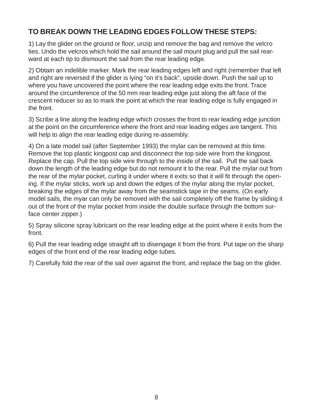## **TO BREAK DOWN THE LEADING EDGES FOLLOW THESE STEPS:**

1) Lay the glider on the ground or floor, unzip and remove the bag and remove the velcro ties. Undo the velcros which hold the sail around the sail mount plug and pull the sail rearward at each tip to dismount the sail from the rear leading edge.

2) Obtain an indelible marker. Mark the rear leading edges left and right (remember that left and right are reversed if the glider is lying "on it's back", upside down. Push the sail up to where you have uncovered the point where the rear leading edge exits the front. Trace around the circumference of the 50 mm rear leading edge just along the aft face of the crescent reducer so as to mark the point at which the rear leading edge is fully engaged in the front.

3) Scribe a line along the leading edge which crosses the front to rear leading edge junction at the point on the circumference where the front and rear leading edges are tangent. This will help to align the rear leading edge during re-assembly.

4) On a late model sail (after September 1993) the mylar can be removed at this time. Remove the top plastic kingpost cap and disconnect the top side wire from the kingpost. Replace the cap. Pull the top side wire through to the inside of the sail. Pull the sail back down the length of the leading edge but do not remount it to the rear. Pull the mylar out from the rear of the mylar pocket, curling it under where it exits so that it will fit through the opening. If the mylar sticks, work up and down the edges of the mylar along the mylar pocket, breaking the edges of the mylar away from the seamstick tape in the seams. (On early model sails, the myar can only be removed with the sail completely off the frame by sliding it out of the front of the mylar pocket from inside the double surface through the bottom surface center zipper.)

5) Spray silicone spray lubricant on the rear leading edge at the point where it exits from the front.

6) Pull the rear leading edge straight aft to disengage it from the front. Put tape on the sharp edges of the front end of the rear leading edge tubes.

7) Carefully fold the rear of the sail over against the front, and replace the bag on the glider.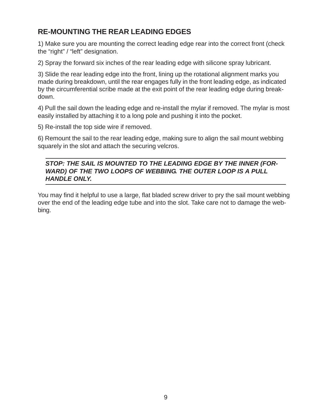## **RE-MOUNTING THE REAR LEADING EDGES**

1) Make sure you are mounting the correct leading edge rear into the correct front (check the "right" / "left" designation.

2) Spray the forward six inches of the rear leading edge with silicone spray lubricant.

3) Slide the rear leading edge into the front, lining up the rotational alignment marks you made during breakdown, until the rear engages fully in the front leading edge, as indicated by the circumferential scribe made at the exit point of the rear leading edge during breakdown.

4) Pull the sail down the leading edge and re-install the mylar if removed. The mylar is most easily installed by attaching it to a long pole and pushing it into the pocket.

5) Re-install the top side wire if removed.

6) Remount the sail to the rear leading edge, making sure to align the sail mount webbing squarely in the slot and attach the securing velcros.

#### *STOP: THE SAIL IS MOUNTED TO THE LEADING EDGE BY THE INNER (FOR-WARD) OF THE TWO LOOPS OF WEBBING. THE OUTER LOOP IS A PULL HANDLE ONLY.*

You may find it helpful to use a large, flat bladed screw driver to pry the sail mount webbing over the end of the leading edge tube and into the slot. Take care not to damage the webbing.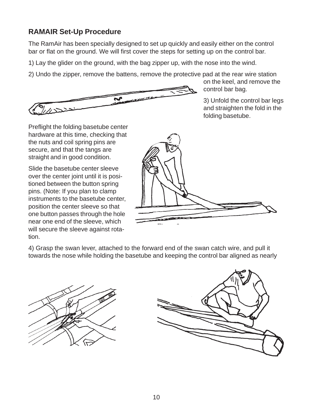## **RAMAIR Set-Up Procedure**

The RamAir has been specially designed to set up quickly and easily either on the control bar or flat on the ground. We will first cover the steps for setting up on the control bar.

1) Lay the glider on the ground, with the bag zipper up, with the nose into the wind.

2) Undo the zipper, remove the battens, remove the protective pad at the rear wire station



on the keel, and remove the control bar bag.

3) Unfold the control bar legs and straighten the fold in the folding basetube.

Preflight the folding basetube center hardware at this time, checking that the nuts and coil spring pins are secure, and that the tangs are straight and in good condition.

Slide the basetube center sleeve over the center joint until it is positioned between the button spring pins. (Note: If you plan to clamp instruments to the basetube center, position the center sleeve so that one button passes through the hole near one end of the sleeve, which will secure the sleeve against rotation.



4) Grasp the swan lever, attached to the forward end of the swan catch wire, and pull it towards the nose while holding the basetube and keeping the control bar aligned as nearly



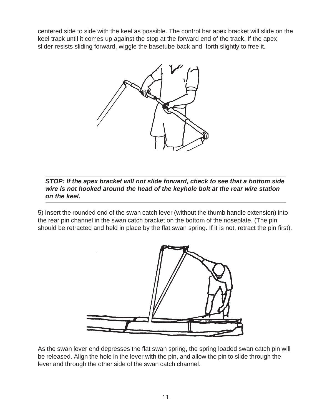centered side to side with the keel as possible. The control bar apex bracket will slide on the keel track until it comes up against the stop at the forward end of the track. If the apex slider resists sliding forward, wiggle the basetube back and forth slightly to free it.



*STOP: If the apex bracket will not slide forward, check to see that a bottom side wire is not hooked around the head of the keyhole bolt at the rear wire station on the keel.*

5) Insert the rounded end of the swan catch lever (without the thumb handle extension) into the rear pin channel in the swan catch bracket on the bottom of the noseplate. (The pin should be retracted and held in place by the flat swan spring. If it is not, retract the pin first).



As the swan lever end depresses the flat swan spring, the spring loaded swan catch pin will be released. Align the hole in the lever with the pin, and allow the pin to slide through the lever and through the other side of the swan catch channel.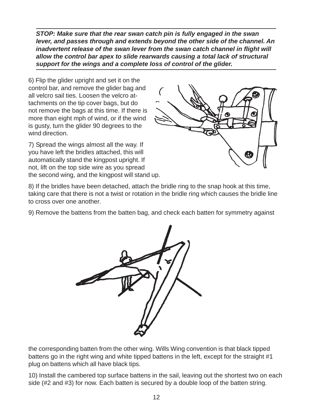*STOP: Make sure that the rear swan catch pin is fully engaged in the swan lever, and passes through and extends beyond the other side of the channel. An inadvertent release of the swan lever from the swan catch channel in flight will allow the control bar apex to slide rearwards causing a total lack of structural support for the wings and a complete loss of control of the glider.*

6) Flip the glider upright and set it on the control bar, and remove the glider bag and all velcro sail ties. Loosen the velcro attachments on the tip cover bags, but do not remove the bags at this time. If there is more than eight mph of wind, or if the wind is gusty, turn the glider 90 degrees to the wind direction.

7) Spread the wings almost all the way. If you have left the bridles attached, this will automatically stand the kingpost upright. If not, lift on the top side wire as you spread the second wing, and the kingpost will stand up.



8) If the bridles have been detached, attach the bridle ring to the snap hook at this time, taking care that there is not a twist or rotation in the bridle ring which causes the bridle line to cross over one another.

9) Remove the battens from the batten bag, and check each batten for symmetry against



the corresponding batten from the other wing. Wills Wing convention is that black tipped battens go in the right wing and white tipped battens in the left, except for the straight #1 plug on battens which all have black tips.

10) Install the cambered top surface battens in the sail, leaving out the shortest two on each side (#2 and #3) for now. Each batten is secured by a double loop of the batten string.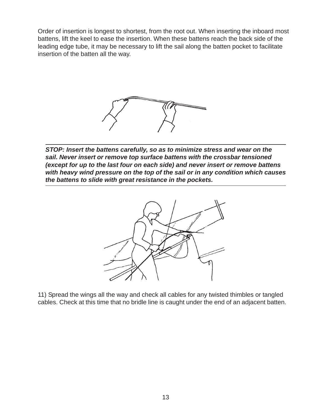Order of insertion is longest to shortest, from the root out. When inserting the inboard most battens, lift the keel to ease the insertion. When these battens reach the back side of the leading edge tube, it may be necessary to lift the sail along the batten pocket to facilitate insertion of the batten all the way.



*STOP: Insert the battens carefully, so as to minimize stress and wear on the sail. Never insert or remove top surface battens with the crossbar tensioned (except for up to the last four on each side) and never insert or remove battens with heavy wind pressure on the top of the sail or in any condition which causes the battens to slide with great resistance in the pockets.*



11) Spread the wings all the way and check all cables for any twisted thimbles or tangled cables. Check at this time that no bridle line is caught under the end of an adjacent batten.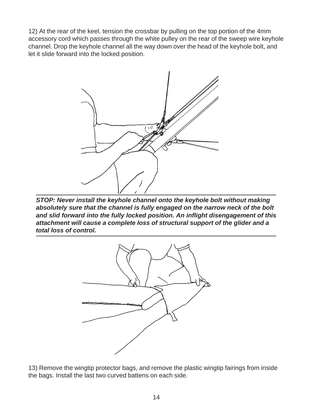12) At the rear of the keel, tension the crossbar by pulling on the top portion of the 4mm accessory cord which passes through the white pulley on the rear of the sweep wire keyhole channel. Drop the keyhole channel all the way down over the head of the keyhole bolt, and let it slide forward into the locked position.



*STOP: Never install the keyhole channel onto the keyhole bolt without making absolutely sure that the channel is fully engaged on the narrow neck of the bolt and slid forward into the fully locked position. An inflight disengagement of this attachment will cause a complete loss of structural support of the glider and a total loss of control.*



13) Remove the wingtip protector bags, and remove the plastic wingtip fairings from inside the bags. Install the last two curved battens on each side.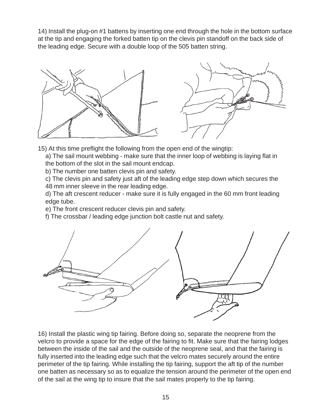14) Install the plug-on #1 battens by inserting one end through the hole in the bottom surface at the tip and engaging the forked batten tip on the clevis pin standoff on the back side of the leading edge. Secure with a double loop of the 505 batten string.



15) At this time preflight the following from the open end of the wingtip:

a) The sail mount webbing - make sure that the inner loop of webbing is laying flat in the bottom of the slot in the sail mount endcap.

b) The number one batten clevis pin and safety.

c) The clevis pin and safety just aft of the leading edge step down which secures the 48 mm inner sleeve in the rear leading edge.

d) The aft crescent reducer - make sure it is fully engaged in the 60 mm front leading edge tube.

e) The front crescent reducer clevis pin and safety.

f) The crossbar / leading edge junction bolt castle nut and safety.



16) Install the plastic wing tip fairing. Before doing so, separate the neoprene from the velcro to provide a space for the edge of the fairing to fit. Make sure that the fairing lodges between the inside of the sail and the outside of the neoprene seal, and that the fairing is fully inserted into the leading edge such that the velcro mates securely around the entire perimeter of the tip fairing. While installing the tip fairing, support the aft tip of the number one batten as necessary so as to equalize the tension around the perimeter of the open end of the sail at the wing tip to insure that the sail mates properly to the tip fairing.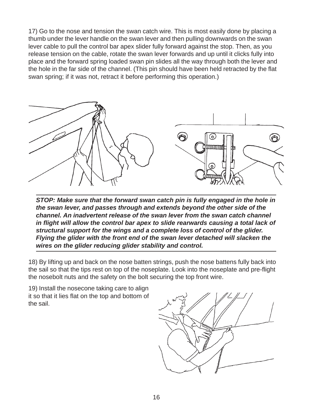17) Go to the nose and tension the swan catch wire. This is most easily done by placing a thumb under the lever handle on the swan lever and then pulling downwards on the swan lever cable to pull the control bar apex slider fully forward against the stop. Then, as you release tension on the cable, rotate the swan lever forwards and up until it clicks fully into place and the forward spring loaded swan pin slides all the way through both the lever and the hole in the far side of the channel. (This pin should have been held retracted by the flat swan spring; if it was not, retract it before performing this operation.)



*STOP: Make sure that the forward swan catch pin is fully engaged in the hole in the swan lever, and passes through and extends beyond the other side of the channel. An inadvertent release of the swan lever from the swan catch channel in flight will allow the control bar apex to slide rearwards causing a total lack of structural support for the wings and a complete loss of control of the glider. Flying the glider with the front end of the swan lever detached will slacken the wires on the glider reducing glider stability and control.*

18) By lifting up and back on the nose batten strings, push the nose battens fully back into the sail so that the tips rest on top of the noseplate. Look into the noseplate and pre-flight the nosebolt nuts and the safety on the bolt securing the top front wire.

19) Install the nosecone taking care to align it so that it lies flat on the top and bottom of the sail.

![](_page_19_Figure_5.jpeg)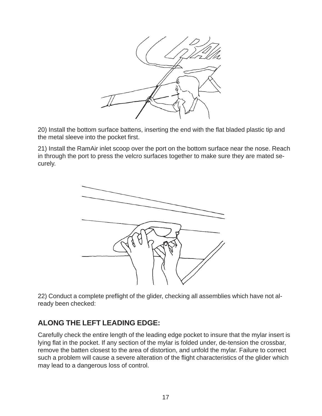![](_page_20_Picture_0.jpeg)

20) Install the bottom surface battens, inserting the end with the flat bladed plastic tip and the metal sleeve into the pocket first.

21) Install the RamAir inlet scoop over the port on the bottom surface near the nose. Reach in through the port to press the velcro surfaces together to make sure they are mated securely.

![](_page_20_Picture_3.jpeg)

22) Conduct a complete preflight of the glider, checking all assemblies which have not already been checked:

## **ALONG THE LEFT LEADING EDGE:**

Carefully check the entire length of the leading edge pocket to insure that the mylar insert is lying flat in the pocket. If any section of the mylar is folded under, de-tension the crossbar, remove the batten closest to the area of distortion, and unfold the mylar. Failure to correct such a problem will cause a severe alteration of the flight characteristics of the glider which may lead to a dangerous loss of control.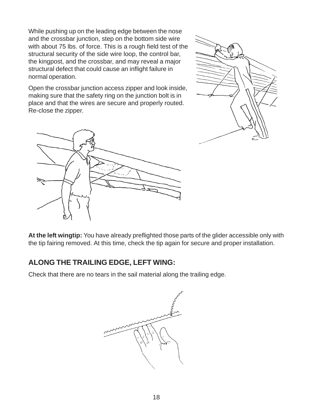While pushing up on the leading edge between the nose and the crossbar junction, step on the bottom side wire with about 75 lbs. of force. This is a rough field test of the structural security of the side wire loop, the control bar, the kingpost, and the crossbar, and may reveal a major structural defect that could cause an inflight failure in normal operation.

Open the crossbar junction access zipper and look inside, making sure that the safety ring on the junction bolt is in place and that the wires are secure and properly routed. Re-close the zipper.

![](_page_21_Picture_2.jpeg)

![](_page_21_Picture_3.jpeg)

**At the left wingtip:** You have already preflighted those parts of the glider accessible only with the tip fairing removed. At this time, check the tip again for secure and proper installation.

### **ALONG THE TRAILING EDGE, LEFT WING:**

Check that there are no tears in the sail material along the trailing edge.

![](_page_21_Picture_7.jpeg)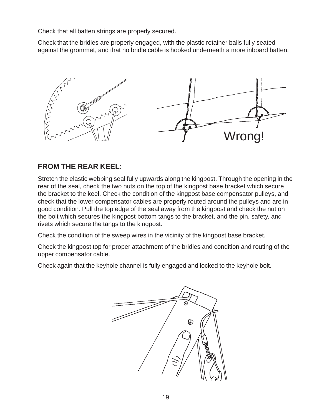Check that all batten strings are properly secured.

Check that the bridles are properly engaged, with the plastic retainer balls fully seated against the grommet, and that no bridle cable is hooked underneath a more inboard batten.

![](_page_22_Figure_2.jpeg)

### **FROM THE REAR KEEL:**

Stretch the elastic webbing seal fully upwards along the kingpost. Through the opening in the rear of the seal, check the two nuts on the top of the kingpost base bracket which secure the bracket to the keel. Check the condition of the kingpost base compensator pulleys, and check that the lower compensator cables are properly routed around the pulleys and are in good condition. Pull the top edge of the seal away from the kingpost and check the nut on the bolt which secures the kingpost bottom tangs to the bracket, and the pin, safety, and rivets which secure the tangs to the kingpost.

Check the condition of the sweep wires in the vicinity of the kingpost base bracket.

Check the kingpost top for proper attachment of the bridles and condition and routing of the upper compensator cable.

Check again that the keyhole channel is fully engaged and locked to the keyhole bolt.

![](_page_22_Picture_8.jpeg)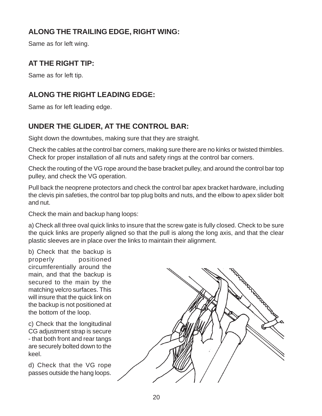## **ALONG THE TRAILING EDGE, RIGHT WING:**

Same as for left wing.

## **AT THE RIGHT TIP:**

Same as for left tip.

## **ALONG THE RIGHT LEADING EDGE:**

Same as for left leading edge.

## **UNDER THE GLIDER, AT THE CONTROL BAR:**

Sight down the downtubes, making sure that they are straight.

Check the cables at the control bar corners, making sure there are no kinks or twisted thimbles. Check for proper installation of all nuts and safety rings at the control bar corners.

Check the routing of the VG rope around the base bracket pulley, and around the control bar top pulley, and check the VG operation.

Pull back the neoprene protectors and check the control bar apex bracket hardware, including the clevis pin safeties, the control bar top plug bolts and nuts, and the elbow to apex slider bolt and nut.

Check the main and backup hang loops:

a) Check all three oval quick links to insure that the screw gate is fully closed. Check to be sure the quick links are properly aligned so that the pull is along the long axis, and that the clear plastic sleeves are in place over the links to maintain their alignment.

b) Check that the backup is properly positioned circumferentially around the main, and that the backup is secured to the main by the matching velcro surfaces. This will insure that the quick link on the backup is not positioned at the bottom of the loop.

c) Check that the longitudinal CG adjustment strap is secure - that both front and rear tangs are securely bolted down to the keel.

d) Check that the VG rope passes outside the hang loops.

![](_page_23_Picture_16.jpeg)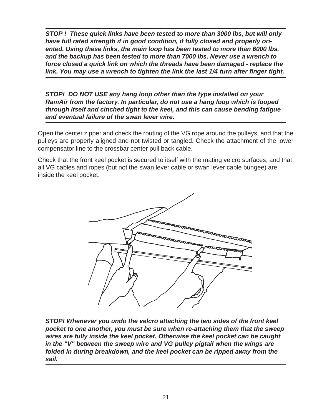*STOP ! These quick links have been tested to more than 3000 lbs, but will only have full rated strength if in good condition, if fully closed and properly oriented. Using these links, the main loop has been tested to more than 6000 lbs. and the backup has been tested to more than 7000 lbs. Never use a wrench to force closed a quick link on which the threads have been damaged - replace the link. You may use a wrench to tighten the link the last 1/4 turn after finger tight.*

*STOP! DO NOT USE any hang loop other than the type installed on your RamAir from the factory. In particular, do not use a hang loop which is looped through itself and cinched tight to the keel, and this can cause bending fatigue and eventual failure of the swan lever wire.*

Open the center zipper and check the routing of the VG rope around the pulleys, and that the pulleys are properly aligned and not twisted or tangled. Check the attachment of the lower compensator line to the crossbar center pull back cable.

Check that the front keel pocket is secured to itself with the mating velcro surfaces, and that all VG cables and ropes (but not the swan lever cable or swan lever cable bungee) are inside the keel pocket.

![](_page_24_Picture_4.jpeg)

*STOP! Whenever you undo the velcro attaching the two sides of the front keel pocket to one another, you must be sure when re-attaching them that the sweep wires are fully inside the keel pocket. Otherwise the keel pocket can be caught in the "V" between the sweep wire and VG pulley pigtail when the wings are folded in during breakdown, and the keel pocket can be ripped away from the sail.*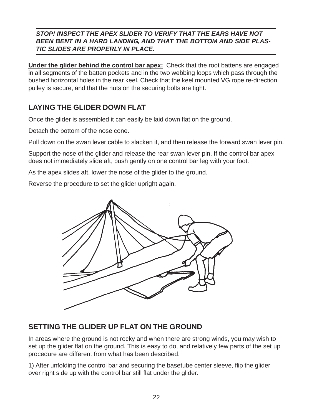#### *STOP! INSPECT THE APEX SLIDER TO VERIFY THAT THE EARS HAVE NOT BEEN BENT IN A HARD LANDING, AND THAT THE BOTTOM AND SIDE PLAS-TIC SLIDES ARE PROPERLY IN PLACE.*

**Under the glider behind the control bar apex:** Check that the root battens are engaged in all segments of the batten pockets and in the two webbing loops which pass through the bushed horizontal holes in the rear keel. Check that the keel mounted VG rope re-direction pulley is secure, and that the nuts on the securing bolts are tight.

## **LAYING THE GLIDER DOWN FLAT**

Once the glider is assembled it can easily be laid down flat on the ground.

Detach the bottom of the nose cone.

Pull down on the swan lever cable to slacken it, and then release the forward swan lever pin.

Support the nose of the glider and release the rear swan lever pin. If the control bar apex does not immediately slide aft, push gently on one control bar leg with your foot.

As the apex slides aft, lower the nose of the glider to the ground.

Reverse the procedure to set the glider upright again.

![](_page_25_Picture_9.jpeg)

### **SETTING THE GLIDER UP FLAT ON THE GROUND**

In areas where the ground is not rocky and when there are strong winds, you may wish to set up the glider flat on the ground. This is easy to do, and relatively few parts of the set up procedure are different from what has been described.

1) After unfolding the control bar and securing the basetube center sleeve, flip the glider over right side up with the control bar still flat under the glider.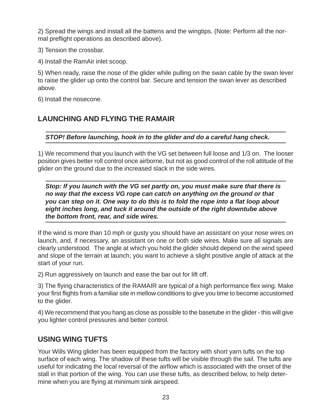2) Spread the wings and install all the battens and the wingtips. (Note: Perform all the normal preflight operations as described above).

3) Tension the crossbar.

4) Install the RamAir inlet scoop.

5) When ready, raise the nose of the glider while pulling on the swan cable by the swan lever to raise the glider up onto the control bar. Secure and tension the swan lever as described above.

6) Install the nosecone.

## **LAUNCHING AND FLYING THE RAMAIR**

*STOP! Before launching, hook in to the glider and do a careful hang check***.**

1) We recommend that you launch with the VG set between full loose and 1/3 on. The looser position gives better roll control once airborne, but not as good control of the roll attitude of the glider on the ground due to the increased slack in the side wires.

*Stop: If you launch with the VG set partly on, you must make sure that there is no way that the excess VG rope can catch on anything on the ground or that you can step on it. One way to do this is to fold the rope into a flat loop about eight inches long, and tuck it around the outside of the right downtube above the bottom front, rear, and side wires.*

If the wind is more than 10 mph or gusty you should have an assistant on your nose wires on launch, and, if necessary, an assistant on one or both side wires. Make sure all signals are clearly understood. The angle at which you hold the glider should depend on the wind speed and slope of the terrain at launch; you want to achieve a slight positive angle of attack at the start of your run.

2) Run aggressively on launch and ease the bar out for lift off.

3) The flying characteristics of the RAMAIR are typical of a high performance flex wing. Make your first flights from a familiar site in mellow conditions to give you time to become accustomed to the glider.

4) We recommend that you hang as close as possible to the basetube in the glider - this will give you lighter control pressures and better control.

#### **USING WING TUFTS**

Your Wills Wing glider has been equipped from the factory with short yarn tufts on the top surface of each wing. The shadow of these tufts will be visible through the sail. The tufts are useful for indicating the local reversal of the airflow which is associated with the onset of the stall in that portion of the wing. You can use these tufts, as described below, to help determine when you are flying at minimum sink airspeed.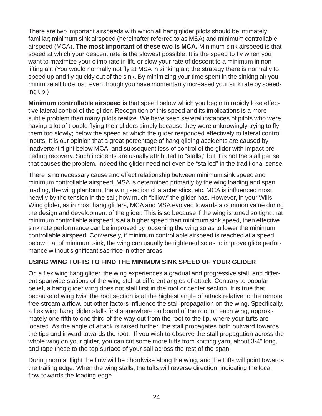There are two important airspeeds with which all hang glider pilots should be intimately familiar; minimum sink airspeed (hereinafter referred to as MSA) and minimum controllable airspeed (MCA). **The most important of these two is MCA.** Minimum sink airspeed is that speed at which your descent rate is the slowest possible. It is the speed to fly when you want to maximize your climb rate in lift, or slow your rate of descent to a minimum in non lifting air. (You would normally not fly at MSA in sinking air; the strategy there is normally to speed up and fly quickly out of the sink. By minimizing your time spent in the sinking air you minimize altitude lost, even though you have momentarily increased your sink rate by speeding up.)

**Minimum controllable airspeed** is that speed below which you begin to rapidly lose effective lateral control of the glider. Recognition of this speed and its implications is a more subtle problem than many pilots realize. We have seen several instances of pilots who were having a lot of trouble flying their gliders simply because they were unknowingly trying to fly them too slowly; below the speed at which the glider responded effectively to lateral control inputs. It is our opinion that a great percentage of hang gliding accidents are caused by inadvertent flight below MCA, and subsequent loss of control of the glider with impact preceding recovery. Such incidents are usually attributed to "stalls," but it is not the stall per se that causes the problem, indeed the glider need not even be "stalled" in the traditional sense.

There is no necessary cause and effect relationship between minimum sink speed and minimum controllable airspeed. MSA is determined primarily by the wing loading and span loading, the wing planform, the wing section characteristics, etc. MCA is influenced most heavily by the tension in the sail; how much "billow" the glider has. However, in your Wills Wing glider, as in most hang gliders, MCA and MSA evolved towards a common value during the design and development of the glider. This is so because if the wing is tuned so tight that minimum controllable airspeed is at a higher speed than minimum sink speed, then effective sink rate performance can be improved by loosening the wing so as to lower the minimum controllable airspeed. Conversely, if minimum controllable airspeed is reached at a speed below that of minimum sink, the wing can usually be tightened so as to improve glide performance without significant sacrifice in other areas.

#### **USING WING TUFTS TO FIND THE MINIMUM SINK SPEED OF YOUR GLIDER**

On a flex wing hang glider, the wing experiences a gradual and progressive stall, and different spanwise stations of the wing stall at different angles of attack. Contrary to popular belief, a hang glider wing does not stall first in the root or center section. It is true that because of wing twist the root section is at the highest angle of attack relative to the remote free stream airflow, but other factors influence the stall propagation on the wing. Specifically, a flex wing hang glider stalls first somewhere outboard of the root on each wing, approximately one fifth to one third of the way out from the root to the tip, where your tufts are located. As the angle of attack is raised further, the stall propagates both outward towards the tips and inward towards the root. If you wish to observe the stall propagation across the whole wing on your glider, you can cut some more tufts from knitting yarn, about 3-4" long, and tape these to the top surface of your sail across the rest of the span.

During normal flight the flow will be chordwise along the wing, and the tufts will point towards the trailing edge. When the wing stalls, the tufts will reverse direction, indicating the local flow towards the leading edge.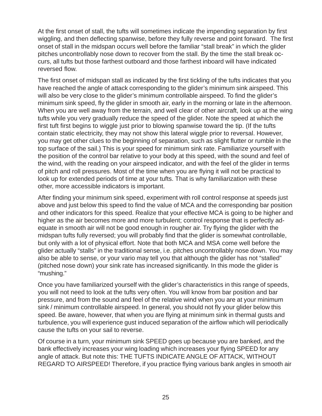At the first onset of stall, the tufts will sometimes indicate the impending separation by first wiggling, and then deflecting spanwise, before they fully reverse and point forward. The first onset of stall in the midspan occurs well before the familiar "stall break" in which the glider pitches uncontrollably nose down to recover from the stall. By the time the stall break occurs, all tufts but those farthest outboard and those farthest inboard will have indicated reversed flow.

The first onset of midspan stall as indicated by the first tickling of the tufts indicates that you have reached the angle of attack corresponding to the glider's minimum sink airspeed. This will also be very close to the glider's minimum controllable airspeed. To find the glider's minimum sink speed, fly the glider in smooth air, early in the morning or late in the afternoon. When you are well away from the terrain, and well clear of other aircraft, look up at the wing tufts while you very gradually reduce the speed of the glider. Note the speed at which the first tuft first begins to wiggle just prior to blowing spanwise toward the tip. (If the tufts contain static electricity, they may not show this lateral wiggle prior to reversal. However, you may get other clues to the beginning of separation, such as slight flutter or rumble in the top surface of the sail.) This is your speed for minimum sink rate. Familiarize yourself with the position of the control bar relative to your body at this speed, with the sound and feel of the wind, with the reading on your airspeed indicator, and with the feel of the glider in terms of pitch and roll pressures. Most of the time when you are flying it will not be practical to look up for extended periods of time at your tufts. That is why familiarization with these other, more accessible indicators is important.

After finding your minimum sink speed, experiment with roll control response at speeds just above and just below this speed to find the value of MCA and the corresponding bar position and other indicators for this speed. Realize that your effective MCA is going to be higher and higher as the air becomes more and more turbulent; control response that is perfectly adequate in smooth air will not be good enough in rougher air. Try flying the glider with the midspan tufts fully reversed; you will probably find that the glider is somewhat controllable, but only with a lot of physical effort. Note that both MCA and MSA come well before the glider actually "stalls" in the traditional sense, i.e. pitches uncontrollably nose down. You may also be able to sense, or your vario may tell you that although the glider has not "stalled" (pitched nose down) your sink rate has increased significantly. In this mode the glider is "mushing."

Once you have familiarized yourself with the glider's characteristics in this range of speeds, you will not need to look at the tufts very often. You will know from bar position and bar pressure, and from the sound and feel of the relative wind when you are at your minimum sink / minimum controllable airspeed. In general, you should not fly your glider below this speed. Be aware, however, that when you are flying at minimum sink in thermal gusts and turbulence, you will experience gust induced separation of the airflow which will periodically cause the tufts on your sail to reverse.

Of course in a turn, your minimum sink SPEED goes up because you are banked, and the bank effectively increases your wing loading which increases your flying SPEED for any angle of attack. But note this: THE TUFTS INDICATE ANGLE OF ATTACK, WITHOUT REGARD TO AIRSPEED! Therefore, if you practice flying various bank angles in smooth air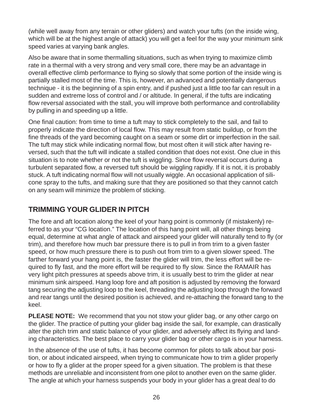(while well away from any terrain or other gliders) and watch your tufts (on the inside wing, which will be at the highest angle of attack) you will get a feel for the way your minimum sink speed varies at varying bank angles.

Also be aware that in some thermalling situations, such as when trying to maximize climb rate in a thermal with a very strong and very small core, there may be an advantage in overall effective climb performance to flying so slowly that some portion of the inside wing is partially stalled most of the time. This is, however, an advanced and potentially dangerous technique - it is the beginning of a spin entry, and if pushed just a little too far can result in a sudden and extreme loss of control and / or altitude. In general, if the tufts are indicating flow reversal associated with the stall, you will improve both performance and controllability by pulling in and speeding up a little.

One final caution: from time to time a tuft may to stick completely to the sail, and fail to properly indicate the direction of local flow. This may result from static buildup, or from the fine threads of the yard becoming caught on a seam or some dirt or imperfection in the sail. The tuft may stick while indicating normal flow, but most often it will stick after having reversed, such that the tuft will indicate a stalled condition that does not exist. One clue in this situation is to note whether or not the tuft is wiggling. Since flow reversal occurs during a turbulent separated flow, a reversed tuft should be wiggling rapidly. If it is not, it is probably stuck. A tuft indicating normal flow will not usually wiggle. An occasional application of silicone spray to the tufts, and making sure that they are positioned so that they cannot catch on any seam will minimize the problem of sticking.

### **TRIMMING YOUR GLIDER IN PITCH**

The fore and aft location along the keel of your hang point is commonly (if mistakenly) referred to as your "CG location." The location of this hang point will, all other things being equal, determine at what angle of attack and airspeed your glider will naturally tend to fly (or trim), and therefore how much bar pressure there is to pull in from trim to a given faster speed, or how much pressure there is to push out from trim to a given slower speed. The farther forward your hang point is, the faster the glider will trim, the less effort will be required to fly fast, and the more effort will be required to fly slow. Since the RAMAIR has very light pitch pressures at speeds above trim, it is usually best to trim the glider at near minimum sink airspeed. Hang loop fore and aft position is adjusted by removing the forward tang securing the adjusting loop to the keel, threading the adjusting loop through the forward and rear tangs until the desired position is achieved, and re-attaching the forward tang to the keel.

**PLEASE NOTE:** We recommend that you not stow your glider bag, or any other cargo on the glider. The practice of putting your glider bag inside the sail, for example, can drastically alter the pitch trim and static balance of your glider, and adversely affect its flying and landing characteristics. The best place to carry your glider bag or other cargo is in your harness.

In the absence of the use of tufts, it has become common for pilots to talk about bar position, or about indicated airspeed, when trying to communicate how to trim a glider properly or how to fly a glider at the proper speed for a given situation. The problem is that these methods are unreliable and inconsistent from one pilot to another even on the same glider. The angle at which your harness suspends your body in your glider has a great deal to do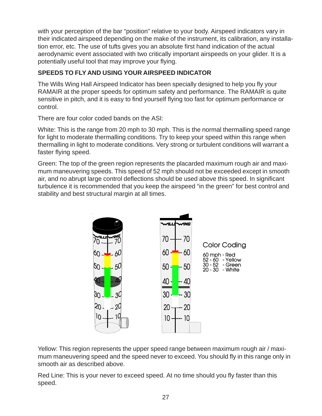with your perception of the bar "position" relative to your body. Airspeed indicators vary in their indicated airspeed depending on the make of the instrument, its calibration, any installation error, etc. The use of tufts gives you an absolute first hand indication of the actual aerodynamic event associated with two critically important airspeeds on your glider. It is a potentially useful tool that may improve your flying.

#### **SPEEDS TO FLY AND USING YOUR AIRSPEED INDICATOR**

The Wills Wing Hall Airspeed Indicator has been specially designed to help you fly your RAMAIR at the proper speeds for optimum safety and performance. The RAMAIR is quite sensitive in pitch, and it is easy to find yourself flying too fast for optimum performance or control.

There are four color coded bands on the ASI:

White: This is the range from 20 mph to 30 mph. This is the normal thermalling speed range for light to moderate thermalling conditions. Try to keep your speed within this range when thermalling in light to moderate conditions. Very strong or turbulent conditions will warrant a faster flying speed.

Green: The top of the green region represents the placarded maximum rough air and maximum maneuvering speeds. This speed of 52 mph should not be exceeded except in smooth air, and no abrupt large control deflections should be used above this speed. In significant turbulence it is recommended that you keep the airspeed "in the green" for best control and stability and best structural margin at all times.

![](_page_30_Figure_6.jpeg)

Yellow: This region represents the upper speed range between maximum rough air / maximum maneuvering speed and the speed never to exceed. You should fly in this range only in smooth air as described above.

Red Line: This is your never to exceed speed. At no time should you fly faster than this speed.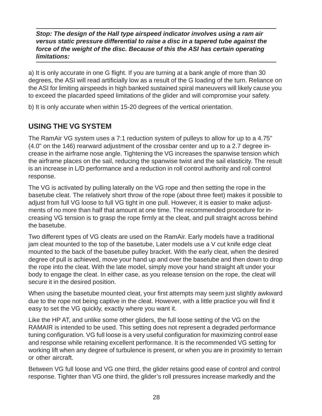#### *Stop: The design of the Hall type airspeed indicator involves using a ram air versus static pressure differential to raise a disc in a tapered tube against the force of the weight of the disc. Because of this the ASI has certain operating limitations:*

a) It is only accurate in one G flight. If you are turning at a bank angle of more than 30 degrees, the ASI will read artificially low as a result of the G loading of the turn. Reliance on the ASI for limiting airspeeds in high banked sustained spiral maneuvers will likely cause you to exceed the placarded speed limitations of the glider and will compromise your safety.

b) It is only accurate when within 15-20 degrees of the vertical orientation.

## **USING THE VG SYSTEM**

The RamAir VG system uses a 7:1 reduction system of pulleys to allow for up to a 4.75" (4.0" on the 146) rearward adjustment of the crossbar center and up to a 2.7 degree increase in the airframe nose angle. Tightening the VG increases the spanwise tension which the airframe places on the sail, reducing the spanwise twist and the sail elasticity. The result is an increase in L/D performance and a reduction in roll control authority and roll control response.

The VG is activated by pulling laterally on the VG rope and then setting the rope in the basetube cleat. The relatively short throw of the rope (about three feet) makes it possible to adjust from full VG loose to full VG tight in one pull. However, it is easier to make adjustments of no more than half that amount at one time. The recommended procedure for increasing VG tension is to grasp the rope firmly at the cleat, and pull straight across behind the basetube.

Two different types of VG cleats are used on the RamAir. Early models have a traditional jam cleat mounted to the top of the basetube, Later models use a V cut knife edge cleat mounted to the back of the basetube pulley bracket. With the early cleat, when the desired degree of pull is achieved, move your hand up and over the basetube and then down to drop the rope into the cleat. With the late model, simply move your hand straight aft under your body to engage the cleat. In either case, as you release tension on the rope, the cleat will secure it in the desired position.

When using the basetube mounted cleat, your first attempts may seem just slightly awkward due to the rope not being captive in the cleat. However, with a little practice you will find it easy to set the VG quickly, exactly where you want it.

Like the HP AT, and unlike some other gliders, the full loose setting of the VG on the RAMAIR is intended to be used. This setting does not represent a degraded performance tuning configuration. VG full loose is a very useful configuration for maximizing control ease and response while retaining excellent performance. It is the recommended VG setting for working lift when any degree of turbulence is present, or when you are in proximity to terrain or other aircraft.

Between VG full loose and VG one third, the glider retains good ease of control and control response. Tighter than VG one third, the glider's roll pressures increase markedly and the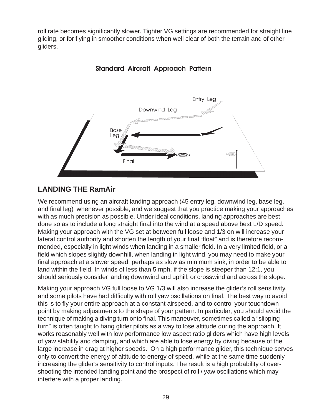roll rate becomes significantly slower. Tighter VG settings are recommended for straight line gliding, or for flying in smoother conditions when well clear of both the terrain and of other gliders.

![](_page_32_Figure_1.jpeg)

**Standard Aircraft Approach Pattern** 

## **LANDING THE RamAir**

We recommend using an aircraft landing approach (45 entry leg, downwind leg, base leg, and final leg) whenever possible, and we suggest that you practice making your approaches with as much precision as possible. Under ideal conditions, landing approaches are best done so as to include a long straight final into the wind at a speed above best L/D speed. Making your approach with the VG set at between full loose and 1/3 on will increase your lateral control authority and shorten the length of your final "float" and is therefore recommended, especially in light winds when landing in a smaller field. In a very limited field, or a field which slopes slightly downhill, when landing in light wind, you may need to make your final approach at a slower speed, perhaps as slow as minimum sink, in order to be able to land within the field. In winds of less than 5 mph, if the slope is steeper than 12:1, you should seriously consider landing downwind and uphill; or crosswind and across the slope.

Making your approach VG full loose to VG 1/3 will also increase the glider's roll sensitivity, and some pilots have had difficulty with roll yaw oscillations on final. The best way to avoid this is to fly your entire approach at a constant airspeed, and to control your touchdown point by making adjustments to the shape of your pattern. In particular, you should avoid the technique of making a diving turn onto final. This maneuver, sometimes called a "slipping turn" is often taught to hang glider pilots as a way to lose altitude during the approach. It works reasonably well with low performance low aspect ratio gliders which have high levels of yaw stability and damping, and which are able to lose energy by diving because of the large increase in drag at higher speeds. On a high performance glider, this technique serves only to convert the energy of altitude to energy of speed, while at the same time suddenly increasing the glider's sensitivity to control inputs. The result is a high probability of overshooting the intended landing point and the prospect of roll / yaw oscillations which may interfere with a proper landing.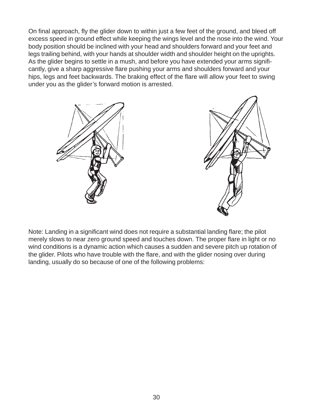On final approach, fly the glider down to within just a few feet of the ground, and bleed off excess speed in ground effect while keeping the wings level and the nose into the wind. Your body position should be inclined with your head and shoulders forward and your feet and legs trailing behind, with your hands at shoulder width and shoulder height on the uprights. As the glider begins to settle in a mush, and before you have extended your arms significantly, give a sharp aggressive flare pushing your arms and shoulders forward and your hips, legs and feet backwards. The braking effect of the flare will allow your feet to swing under you as the glider's forward motion is arrested.

![](_page_33_Figure_1.jpeg)

![](_page_33_Picture_2.jpeg)

Note: Landing in a significant wind does not require a substantial landing flare; the pilot merely slows to near zero ground speed and touches down. The proper flare in light or no wind conditions is a dynamic action which causes a sudden and severe pitch up rotation of the glider. Pilots who have trouble with the flare, and with the glider nosing over during landing, usually do so because of one of the following problems: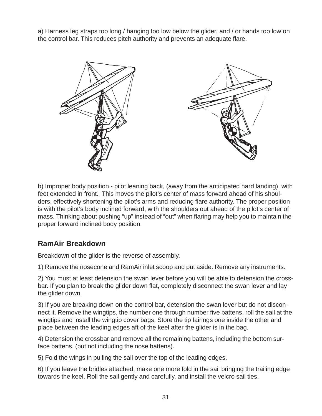a) Harness leg straps too long / hanging too low below the glider, and / or hands too low on the control bar. This reduces pitch authority and prevents an adequate flare.

![](_page_34_Picture_1.jpeg)

b) Improper body position - pilot leaning back, (away from the anticipated hard landing), with feet extended in front. This moves the pilot's center of mass forward ahead of his shoulders, effectively shortening the pilot's arms and reducing flare authority. The proper position is with the pilot's body inclined forward, with the shoulders out ahead of the pilot's center of mass. Thinking about pushing "up" instead of "out" when flaring may help you to maintain the proper forward inclined body position.

### **RamAir Breakdown**

Breakdown of the glider is the reverse of assembly.

1) Remove the nosecone and RamAir inlet scoop and put aside. Remove any instruments.

2) You must at least detension the swan lever before you will be able to detension the crossbar. If you plan to break the glider down flat, completely disconnect the swan lever and lay the glider down.

3) If you are breaking down on the control bar, detension the swan lever but do not disconnect it. Remove the wingtips, the number one through number five battens, roll the sail at the wingtips and install the wingtip cover bags. Store the tip fairings one inside the other and place between the leading edges aft of the keel after the glider is in the bag.

4) Detension the crossbar and remove all the remaining battens, including the bottom surface battens, (but not including the nose battens).

5) Fold the wings in pulling the sail over the top of the leading edges.

6) If you leave the bridles attached, make one more fold in the sail bringing the trailing edge towards the keel. Roll the sail gently and carefully, and install the velcro sail ties.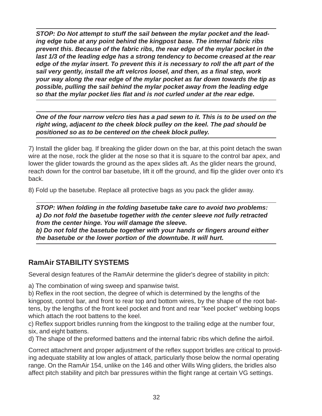*STOP: Do Not attempt to stuff the sail between the mylar pocket and the leading edge tube at any point behind the kingpost base. The internal fabric ribs prevent this. Because of the fabric ribs, the rear edge of the mylar pocket in the last 1/3 of the leading edge has a strong tendency to become creased at the rear edge of the mylar insert. To prevent this it is necessary to roll the aft part of the sail very gently, install the aft velcros loosel, and then, as a final step, work your way along the rear edge of the mylar pocket as far down towards the tip as possible, pulling the sail behind the mylar pocket away from the leading edge so that the mylar pocket lies flat and is not curled under at the rear edge.*

*One of the four narrow velcro ties has a pad sewn to it. This is to be used on the right wing, adjacent to the cheek block pulley on the keel. The pad should be positioned so as to be centered on the cheek block pulley.*

7) Install the glider bag. If breaking the glider down on the bar, at this point detach the swan wire at the nose, rock the glider at the nose so that it is square to the control bar apex, and lower the glider towards the ground as the apex slides aft. As the glider nears the ground, reach down for the control bar basetube, lift it off the ground, and flip the glider over onto it's back.

8) Fold up the basetube. Replace all protective bags as you pack the glider away.

*STOP: When folding in the folding basetube take care to avoid two problems: a) Do not fold the basetube together with the center sleeve not fully retracted from the center hinge. You will damage the sleeve. b) Do not fold the basetube together with your hands or fingers around either the basetube or the lower portion of the downtube. It will hurt.*

### **RamAir STABILITY SYSTEMS**

Several design features of the RamAir determine the glider's degree of stability in pitch:

a) The combination of wing sweep and spanwise twist.

b) Reflex in the root section, the degree of which is determined by the lengths of the kingpost, control bar, and front to rear top and bottom wires, by the shape of the root battens, by the lengths of the front keel pocket and front and rear "keel pocket" webbing loops which attach the root battens to the keel.

c) Reflex support bridles running from the kingpost to the trailing edge at the number four, six, and eight battens.

d) The shape of the preformed battens and the internal fabric ribs which define the airfoil.

Correct attachment and proper adjustment of the reflex support bridles are critical to providing adequate stability at low angles of attack, particularly those below the normal operating range. On the RamAir 154, unlike on the 146 and other Wills Wing gliders, the bridles also affect pitch stability and pitch bar pressures within the flight range at certain VG settings.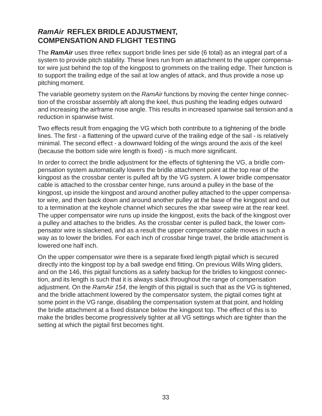### *RamAir* **REFLEX BRIDLE ADJUSTMENT, COMPENSATION AND FLIGHT TESTING**

The *RamAir* uses three reflex support bridle lines per side (6 total) as an integral part of a system to provide pitch stability. These lines run from an attachment to the upper compensator wire just behind the top of the kingpost to grommets on the trailing edge. Their function is to support the trailing edge of the sail at low angles of attack, and thus provide a nose up pitching moment.

The variable geometry system on the *RamAir* functions by moving the center hinge connection of the crossbar assembly aft along the keel, thus pushing the leading edges outward and increasing the airframe nose angle. This results in increased spanwise sail tension and a reduction in spanwise twist.

Two effects result from engaging the VG which both contribute to a tightening of the bridle lines. The first - a flattening of the upward curve of the trailing edge of the sail - is relatively minimal. The second effect - a downward folding of the wings around the axis of the keel (because the bottom side wire length is fixed) - is much more significant.

In order to correct the bridle adjustment for the effects of tightening the VG, a bridle compensation system automatically lowers the bridle attachment point at the top rear of the kingpost as the crossbar center is pulled aft by the VG system. A lower bridle compensator cable is attached to the crossbar center hinge, runs around a pulley in the base of the kingpost, up inside the kingpost and around another pulley attached to the upper compensator wire, and then back down and around another pulley at the base of the kingpost and out to a termination at the keyhole channel which secures the xbar sweep wire at the rear keel. The upper compensator wire runs up inside the kingpost, exits the back of the kingpost over a pulley and attaches to the bridles. As the crossbar center is pulled back, the lower compensator wire is slackened, and as a result the upper compensator cable moves in such a way as to lower the bridles. For each inch of crossbar hinge travel, the bridle attachment is lowered one half inch.

On the upper compensator wire there is a separate fixed length pigtail which is secured directly into the kingpost top by a ball swedge end fitting. On previous Wills Wing gliders, and on the 146, this pigtail functions as a safety backup for the bridles to kingpost connection, and its length is such that it is always slack throughout the range of compensation adjustment. On the *RamAir 154*, the length of this pigtail is such that as the VG is tightened, and the bridle attachment lowered by the compensator system, the pigtail comes tight at some point in the VG range, disabling the compensation system at that point, and holding the bridle attachment at a fixed distance below the kingpost top. The effect of this is to make the bridles become progressively tighter at all VG settings which are tighter than the setting at which the pigtail first becomes tight.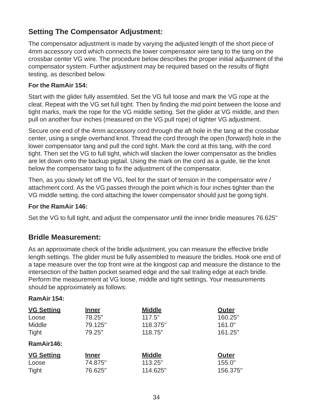### **Setting The Compensator Adjustment:**

The compensator adjustment is made by varying the adjusted length of the short piece of 4mm accessory cord which connects the lower compensator wire tang to the tang on the crossbar center VG wire. The procedure below describes the proper initial adjustment of the compensator system. Further adjustment may be required based on the results of flight testing, as described below.

#### **For the RamAir 154:**

Start with the glider fully assembled. Set the VG full loose and mark the VG rope at the cleat. Repeat with the VG set full tight. Then by finding the mid point between the loose and tight marks, mark the rope for the VG middle setting. Set the glider at VG middle, and then pull on another four inches (measured on the VG pull rope) of tighter VG adjustment.

Secure one end of the 4mm accessory cord through the aft hole in the tang at the crossbar center, using a single overhand knot. Thread the cord through the open (forward) hole in the lower compensator tang and pull the cord tight. Mark the cord at this tang, with the cord tight. Then set the VG to full tight, which will slacken the lower compensator as the bridles are let down onto the backup pigtail. Using the mark on the cord as a guide, tie the knot below the compensator tang to fix the adjustment of the compensator.

Then, as you slowly let off the VG, feel for the start of tension in the compensator wire / attachment cord. As the VG passes through the point which is four inches tighter than the VG middle setting, the cord attaching the lower compensator should just be going tight.

#### **For the RamAir 146:**

Set the VG to full tight, and adjust the compensator until the inner bridle measures 76.625"

#### **Bridle Measurement:**

As an approximate check of the bridle adjustment, you can measure the effective bridle length settings. The glider must be fully assembled to measure the bridles. Hook one end of a tape measure over the top front wire at the kingpost cap and measure the distance to the intersection of the batten pocket seamed edge and the sail trailing edge at each bridle. Perform the measurement at VG loose, middle and tight settings. Your measurements should be approximately as follows:

#### **RamAir 154:**

| <b>VG Setting</b> | <b>Inner</b> | <b>Middle</b> | <b>Outer</b> |
|-------------------|--------------|---------------|--------------|
| Loose             | 78.25"       | 117.5"        | 160.25"      |
| Middle            | 79.125"      | 118.375"      | 161.0"       |
| Tight             | 79.25"       | 118.75"       | 161.25"      |
| RamAir146:        |              |               |              |
| <b>VG Setting</b> | <b>Inner</b> | <b>Middle</b> | <b>Outer</b> |
| Loose             | 74.875"      | 113.25"       | 155.0"       |
| Tight             | 76.625"      | 114.625"      | 156.375"     |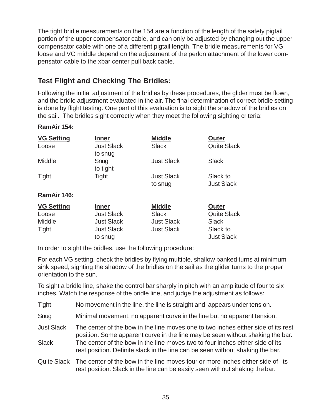The tight bridle measurements on the 154 are a function of the length of the safety pigtail portion of the upper compensator cable, and can only be adjusted by changing out the upper compensator cable with one of a different pigtail length. The bridle measurements for VG loose and VG middle depend on the adjustment of the perlon attachment of the lower compensator cable to the xbar center pull back cable.

## **Test Flight and Checking The Bridles:**

Following the initial adjustment of the bridles by these procedures, the glider must be flown, and the bridle adjustment evaluated in the air. The final determination of correct bridle setting is done by flight testing. One part of this evaluation is to sight the shadow of the bridles on the sail. The bridles sight correctly when they meet the following sighting criteria:

#### **RamAir 154:**

| <b>VG Setting</b> | <u>Inner</u>                 | <b>Middle</b>                | <b>Outer</b>                  |
|-------------------|------------------------------|------------------------------|-------------------------------|
| Loose             | <b>Just Slack</b><br>to snug | <b>Slack</b>                 | <b>Quite Slack</b>            |
| Middle            | Snug<br>to tight             | <b>Just Slack</b>            | <b>Slack</b>                  |
| <b>Tight</b>      | <b>Tight</b>                 | <b>Just Slack</b><br>to snug | Slack to<br><b>Just Slack</b> |
| RamAir 146:       |                              |                              |                               |
| <b>VG Setting</b> | <b>Inner</b>                 | <b>Middle</b>                | Outer                         |
| Loose             | <b>Just Slack</b>            | <b>Slack</b>                 | <b>Quite Slack</b>            |
| Middle            | <b>Just Slack</b>            | <b>Just Slack</b>            | Slack                         |
| <b>Tight</b>      | <b>Just Slack</b>            | <b>Just Slack</b>            | Slack to                      |
|                   | to snug                      |                              | <b>Just Slack</b>             |

In order to sight the bridles, use the following procedure:

For each VG setting, check the bridles by flying multiple, shallow banked turns at minimum sink speed, sighting the shadow of the bridles on the sail as the glider turns to the proper orientation to the sun.

To sight a bridle line, shake the control bar sharply in pitch with an amplitude of four to six inches. Watch the response of the bridle line, and judge the adjustment as follows:

- Snug Minimal movement, no apparent curve in the line but no apparent tension.
- Just Slack The center of the bow in the line moves one to two inches either side of its rest position. Some apparent curve in the line may be seen without shaking the bar. Slack The center of the bow in the line moves two to four inches either side of its rest position. Definite slack in the line can be seen without shaking the bar.
- Quite Slack The center of the bow in the line moves four or more inches either side of its rest position. Slack in the line can be easily seen without shaking the bar.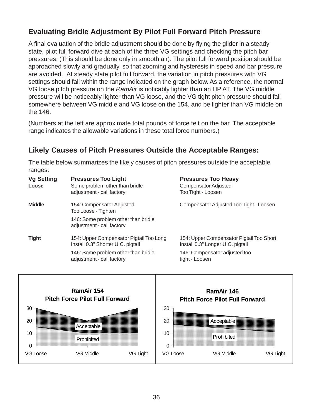## **Evaluating Bridle Adjustment By Pilot Full Forward Pitch Pressure**

A final evaluation of the bridle adjustment should be done by flying the glider in a steady state, pilot full forward dive at each of the three VG settings and checking the pitch bar pressures. (This should be done only in smooth air). The pilot full forward position should be approached slowly and gradually, so that zooming and hysteresis in speed and bar pressure are avoided. At steady state pilot full forward, the variation in pitch pressures with VG settings should fall within the range indicated on the graph below. As a reference, the normal VG loose pitch pressure on the *RamAir* is noticably lighter than an HP AT. The VG middle pressure will be noticeably lighter than VG loose, and the VG tight pitch pressure should fall somewhere between VG middle and VG loose on the 154, and be lighter than VG middle on the 146.

(Numbers at the left are approximate total pounds of force felt on the bar. The acceptable range indicates the allowable variations in these total force numbers.)

## **Likely Causes of Pitch Pressures Outside the Acceptable Ranges:**

The table below summarizes the likely causes of pitch pressures outside the acceptable ranges:

| <b>Vg Setting</b><br>Loose | <b>Pressures Too Light</b><br>Some problem other than bridle<br>adjustment - call factory | <b>Pressures Too Heavy</b><br><b>Compensator Adjusted</b><br>Too Tight - Loosen |
|----------------------------|-------------------------------------------------------------------------------------------|---------------------------------------------------------------------------------|
| <b>Middle</b>              | 154: Compensator Adjusted<br>Too Loose - Tighten                                          | Compensator Adjusted Too Tight - Loosen                                         |
|                            | 146: Some problem other than bridle<br>adjustment - call factory                          |                                                                                 |
| <b>Tight</b>               | 154: Upper Compensator Pigtail Too Long<br>Install 0.3" Shorter U.C. pigtail              | 154: Upper Compensator Pigtail Too Short<br>Install 0.3" Longer U.C. pigtail    |
|                            | 146: Some problem other than bridle<br>adjustment - call factory                          | 146: Compensator adjusted too<br>tight - Loosen                                 |

![](_page_39_Figure_6.jpeg)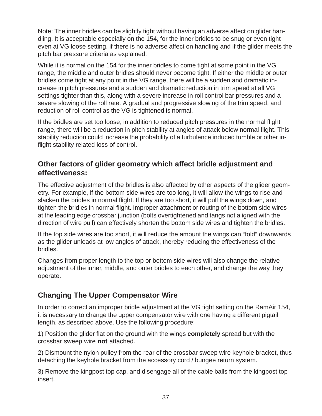Note: The inner bridles can be slightly tight without having an adverse affect on glider handling. It is acceptable especially on the 154, for the inner bridles to be snug or even tight even at VG loose setting, if there is no adverse affect on handling and if the glider meets the pitch bar pressure criteria as explained.

While it is normal on the 154 for the inner bridles to come tight at some point in the VG range, the middle and outer bridles should never become tight. If either the middle or outer bridles come tight at any point in the VG range, there will be a sudden and dramatic increase in pitch pressures and a sudden and dramatic reduction in trim speed at all VG settings tighter than this, along with a severe increase in roll control bar pressures and a severe slowing of the roll rate. A gradual and progressive slowing of the trim speed, and reduction of roll control as the VG is tightened is normal.

If the bridles are set too loose, in addition to reduced pitch pressures in the normal flight range, there will be a reduction in pitch stability at angles of attack below normal flight. This stability reduction could increase the probability of a turbulence induced tumble or other inflight stability related loss of control.

#### **Other factors of glider geometry which affect bridle adjustment and effectiveness:**

The effective adjustment of the bridles is also affected by other aspects of the glider geometry. For example, if the bottom side wires are too long, it will allow the wings to rise and slacken the bridles in normal flight. If they are too short, it will pull the wings down, and tighten the bridles in normal flight. Improper attachment or routing of the bottom side wires at the leading edge crossbar junction (bolts overtightened and tangs not aligned with the direction of wire pull) can effectively shorten the bottom side wires and tighten the bridles.

If the top side wires are too short, it will reduce the amount the wings can "fold" downwards as the glider unloads at low angles of attack, thereby reducing the effectiveness of the bridles.

Changes from proper length to the top or bottom side wires will also change the relative adjustment of the inner, middle, and outer bridles to each other, and change the way they operate.

### **Changing The Upper Compensator Wire**

In order to correct an improper bridle adjustment at the VG tight setting on the RamAir 154, it is necessary to change the upper compensator wire with one having a different pigtail length, as described above. Use the following procedure:

1) Position the glider flat on the ground with the wings **completely** spread but with the crossbar sweep wire **not** attached.

2) Dismount the nylon pulley from the rear of the crossbar sweep wire keyhole bracket, thus detaching the keyhole bracket from the accessory cord / bungee return system.

3) Remove the kingpost top cap, and disengage all of the cable balls from the kingpost top insert.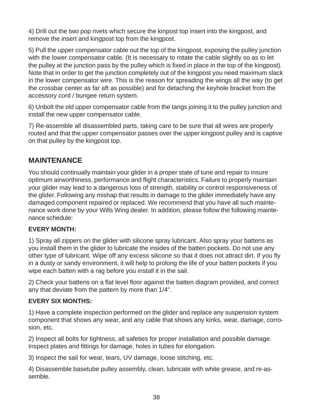4) Drill out the two pop rivets which secure the kinpost top insert into the kingpost, and remove the insert and kingpost top from the kingpost.

5) Pull the upper compensator cable out the top of the kingpost, exposing the pulley junction with the lower compensator cable. (It is necessary to rotate the cable slightly so as to let the pulley at the junction pass by the pulley which is fixed in place in the top of the kingpost). Note that in order to get the junction completely out of the kingpost you need maximum slack in the lower compensator wire. This is the reason for spreading the wings all the way (to get the crossbar center as far aft as possible) and for detaching the keyhole bracket from the accessory cord / bungee return system.

6) Unbolt the old upper compensator cable from the tangs joining it to the pulley junction and install the new upper compensator cable.

7) Re-assemble all disassembled parts, taking care to be sure that all wires are properly routed and that the upper compensator passes over the upper kingpost pulley and is captive on that pulley by the kingpost top.

#### **MAINTENANCE**

You should continually maintain your glider in a proper state of tune and repair to insure optimum airworthiness, performance and flight characteristics. Failure to properly maintain your glider may lead to a dangerous loss of strength, stability or control responsiveness of the glider. Following any mishap that results in damage to the glider immediately have any damaged component repaired or replaced. We recommend that you have all such maintenance work done by your Wills Wing dealer. In addition, please follow the following maintenance schedule:

#### **EVERY MONTH:**

1) Spray all zippers on the glider with silicone spray lubricant. Also spray your battens as you install them in the glider to lubricate the insides of the batten pockets. Do not use any other type of lubricant. Wipe off any excess silicone so that it does not attract dirt. If you fly in a dusty or sandy environment, it will help to prolong the life of your batten pockets if you wipe each batten with a rag before you install it in the sail.

2) Check your battens on a flat level floor against the batten diagram provided, and correct any that deviate from the pattern by more than 1/4".

#### **EVERY SIX MONTHS:**

1) Have a complete inspection performed on the glider and replace any suspension system component that shows any wear, and any cable that shows any kinks, wear, damage, corrosion, etc.

2) Inspect all bolts for tightness, all safeties for proper installation and possible damage. Inspect plates and fittings for damage, holes in tubes for elongation.

3) Inspect the sail for wear, tears, UV damage, loose stitching, etc.

4) Disassemble basetube pulley assembly, clean, lubricate with white grease, and re-assemble.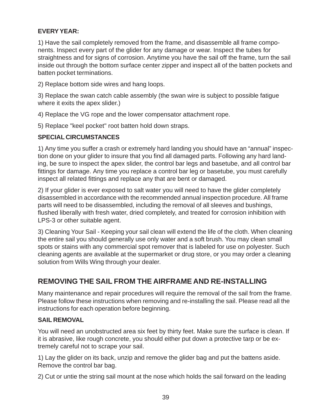#### **EVERY YEAR:**

1) Have the sail completely removed from the frame, and disassemble all frame components. Inspect every part of the glider for any damage or wear. Inspect the tubes for straightness and for signs of corrosion. Anytime you have the sail off the frame, turn the sail inside out through the bottom surface center zipper and inspect all of the batten pockets and batten pocket terminations.

2) Replace bottom side wires and hang loops.

3) Replace the swan catch cable assembly (the swan wire is subject to possible fatigue where it exits the apex slider.)

4) Replace the VG rope and the lower compensator attachment rope.

5) Replace "keel pocket" root batten hold down straps.

#### **SPECIAL CIRCUMSTANCES**

1) Any time you suffer a crash or extremely hard landing you should have an "annual" inspection done on your glider to insure that you find all damaged parts. Following any hard landing, be sure to inspect the apex slider, the control bar legs and basetube, and all control bar fittings for damage. Any time you replace a control bar leg or basetube, you must carefully inspect all related fittings and replace any that are bent or damaged.

2) If your glider is ever exposed to salt water you will need to have the glider completely disassembled in accordance with the recommended annual inspection procedure. All frame parts will need to be disassembled, including the removal of all sleeves and bushings, flushed liberally with fresh water, dried completely, and treated for corrosion inhibition with LPS-3 or other suitable agent.

3) Cleaning Your Sail - Keeping your sail clean will extend the life of the cloth. When cleaning the entire sail you should generally use only water and a soft brush. You may clean small spots or stains with any commercial spot remover that is labeled for use on polyester. Such cleaning agents are available at the supermarket or drug store, or you may order a cleaning solution from Wills Wing through your dealer.

## **REMOVING THE SAIL FROM THE AIRFRAME AND RE-INSTALLING**

Many maintenance and repair procedures will require the removal of the sail from the frame. Please follow these instructions when removing and re-installing the sail. Please read all the instructions for each operation before beginning.

#### **SAIL REMOVAL**

You will need an unobstructed area six feet by thirty feet. Make sure the surface is clean. If it is abrasive, like rough concrete, you should either put down a protective tarp or be extremely careful not to scrape your sail.

1) Lay the glider on its back, unzip and remove the glider bag and put the battens aside. Remove the control bar bag.

2) Cut or untie the string sail mount at the nose which holds the sail forward on the leading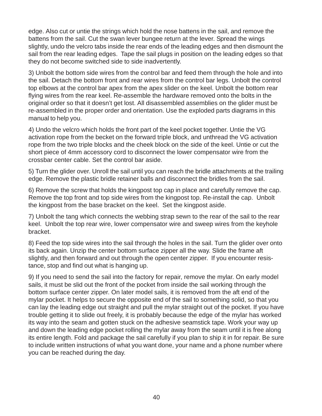edge. Also cut or untie the strings which hold the nose battens in the sail, and remove the battens from the sail. Cut the swan lever bungee return at the lever. Spread the wings slightly, undo the velcro tabs inside the rear ends of the leading edges and then dismount the sail from the rear leading edges. Tape the sail plugs in position on the leading edges so that they do not become switched side to side inadvertently.

3) Unbolt the bottom side wires from the control bar and feed them through the hole and into the sail. Detach the bottom front and rear wires from the control bar legs. Unbolt the control top elbows at the control bar apex from the apex slider on the keel. Unbolt the bottom rear flying wires from the rear keel. Re-assemble the hardware removed onto the bolts in the original order so that it doesn't get lost. All disassembled assemblies on the glider must be re-assembled in the proper order and orientation. Use the exploded parts diagrams in this manual to help you.

4) Undo the velcro which holds the front part of the keel pocket together. Untie the VG activation rope from the becket on the forward triple block, and unthread the VG activation rope from the two triple blocks and the cheek block on the side of the keel. Untie or cut the short piece of 4mm accessory cord to disconnect the lower compensator wire from the crossbar center cable. Set the control bar aside.

5) Turn the glider over. Unroll the sail until you can reach the bridle attachments at the trailing edge. Remove the plastic bridle retainer balls and disconnect the bridles from the sail.

6) Remove the screw that holds the kingpost top cap in place and carefully remove the cap. Remove the top front and top side wires from the kingpost top. Re-install the cap. Unbolt the kingpost from the base bracket on the keel. Set the kingpost aside.

7) Unbolt the tang which connects the webbing strap sewn to the rear of the sail to the rear keel. Unbolt the top rear wire, lower compensator wire and sweep wires from the keyhole bracket.

8) Feed the top side wires into the sail through the holes in the sail. Turn the glider over onto its back again. Unzip the center bottom surface zipper all the way. Slide the frame aft slightly, and then forward and out through the open center zipper. If you encounter resistance, stop and find out what is hanging up.

9) If you need to send the sail into the factory for repair, remove the mylar. On early model sails, it must be slid out the front of the pocket from inside the sail working through the bottom surface center zipper. On later model sails, it is removed from the aft end of the mylar pocket. It helps to secure the opposite end of the sail to something solid, so that you can lay the leading edge out straight and pull the mylar straight out of the pocket. If you have trouble getting it to slide out freely, it is probably because the edge of the mylar has worked its way into the seam and gotten stuck on the adhesive seamstick tape. Work your way up and down the leading edge pocket rolling the mylar away from the seam until it is free along its entire length. Fold and package the sail carefully if you plan to ship it in for repair. Be sure to include written instructions of what you want done, your name and a phone number where you can be reached during the day.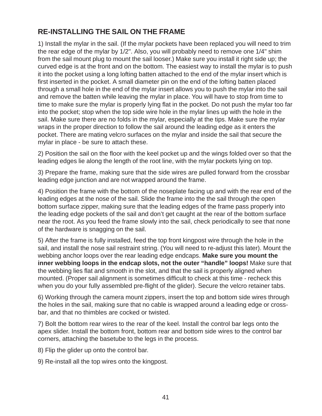## **RE-INSTALLING THE SAIL ON THE FRAME**

1) Install the mylar in the sail. (If the mylar pockets have been replaced you will need to trim the rear edge of the mylar by 1/2". Also, you will probably need to remove one 1/4" shim from the sail mount plug to mount the sail looser.) Make sure you install it right side up; the curved edge is at the front and on the bottom. The easiest way to install the mylar is to push it into the pocket using a long lofting batten attached to the end of the mylar insert which is first inserted in the pocket. A small diameter pin on the end of the lofting batten placed through a small hole in the end of the mylar insert allows you to push the mylar into the sail and remove the batten while leaving the mylar in place. You will have to stop from time to time to make sure the mylar is properly lying flat in the pocket. Do not push the mylar too far into the pocket; stop when the top side wire hole in the mylar lines up with the hole in the sail. Make sure there are no folds in the mylar, especially at the tips. Make sure the mylar wraps in the proper direction to follow the sail around the leading edge as it enters the pocket. There are mating velcro surfaces on the mylar and inside the sail that secure the mylar in place - be sure to attach these.

2) Position the sail on the floor with the keel pocket up and the wings folded over so that the leading edges lie along the length of the root line, with the mylar pockets lying on top.

3) Prepare the frame, making sure that the side wires are pulled forward from the crossbar leading edge junction and are not wrapped around the frame.

4) Position the frame with the bottom of the noseplate facing up and with the rear end of the leading edges at the nose of the sail. Slide the frame into the the sail through the open bottom surface zipper, making sure that the leading edges of the frame pass properly into the leading edge pockets of the sail and don't get caught at the rear of the bottom surface near the root. As you feed the frame slowly into the sail, check periodically to see that none of the hardware is snagging on the sail.

5) After the frame is fully installed, feed the top front kingpost wire through the hole in the sail, and install the nose sail restraint string. (You will need to re-adjust this later). Mount the webbing anchor loops over the rear leading edge endcaps. **Make sure you mount the inner webbing loops in the endcap slots, not the outer "handle" loops!** Make sure that the webbing lies flat and smooth in the slot, and that the sail is properly aligned when mounted. (Proper sail alignment is sometimes difficult to check at this time - recheck this when you do your fully assembled pre-flight of the glider). Secure the velcro retainer tabs.

6) Working through the camera mount zippers, insert the top and bottom side wires through the holes in the sail, making sure that no cable is wrapped around a leading edge or crossbar, and that no thimbles are cocked or twisted.

7) Bolt the bottom rear wires to the rear of the keel. Install the control bar legs onto the apex slider. Install the bottom front, bottom rear and bottom side wires to the control bar corners, attaching the basetube to the legs in the process.

- 8) Flip the glider up onto the control bar.
- 9) Re-install all the top wires onto the kingpost.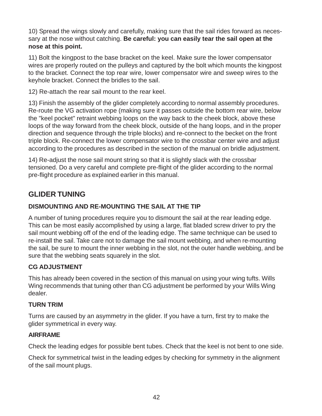10) Spread the wings slowly and carefully, making sure that the sail rides forward as necessary at the nose without catching. **Be careful: you can easily tear the sail open at the nose at this point.**

11) Bolt the kingpost to the base bracket on the keel. Make sure the lower compensator wires are properly routed on the pulleys and captured by the bolt which mounts the kingpost to the bracket. Connect the top rear wire, lower compensator wire and sweep wires to the keyhole bracket. Connect the bridles to the sail.

12) Re-attach the rear sail mount to the rear keel.

13) Finish the assembly of the glider completely according to normal assembly procedures. Re-route the VG activation rope (making sure it passes outside the bottom rear wire, below the "keel pocket" retraint webbing loops on the way back to the cheek block, above these loops of the way forward from the cheek block, outside of the hang loops, and in the proper direction and sequence through the triple blocks) and re-connect to the becket on the front triple block. Re-connect the lower compensator wire to the crossbar center wire and adjust according to the procedures as described in the section of the manual on bridle adjustment.

14) Re-adjust the nose sail mount string so that it is slightly slack with the crossbar tensioned. Do a very careful and complete pre-flight of the glider according to the normal pre-flight procedure as explained earlier in this manual.

## **GLIDER TUNING**

#### **DISMOUNTING AND RE-MOUNTING THE SAIL AT THE TIP**

A number of tuning procedures require you to dismount the sail at the rear leading edge. This can be most easily accomplished by using a large, flat bladed screw driver to pry the sail mount webbing off of the end of the leading edge. The same technique can be used to re-install the sail. Take care not to damage the sail mount webbing, and when re-mounting the sail, be sure to mount the inner webbing in the slot, not the outer handle webbing, and be sure that the webbing seats squarely in the slot.

#### **CG ADJUSTMENT**

This has already been covered in the section of this manual on using your wing tufts. Wills Wing recommends that tuning other than CG adjustment be performed by your Wills Wing dealer.

#### **TURN TRIM**

Turns are caused by an asymmetry in the glider. If you have a turn, first try to make the glider symmetrical in every way.

#### **AIRFRAME**

Check the leading edges for possible bent tubes. Check that the keel is not bent to one side.

Check for symmetrical twist in the leading edges by checking for symmetry in the alignment of the sail mount plugs.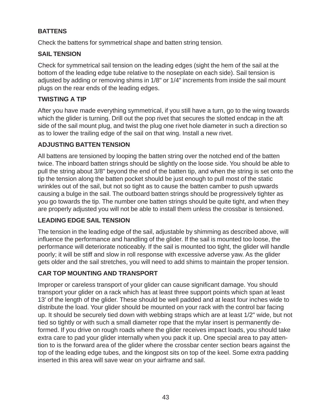#### **BATTENS**

Check the battens for symmetrical shape and batten string tension.

#### **SAIL TENSION**

Check for symmetrical sail tension on the leading edges (sight the hem of the sail at the bottom of the leading edge tube relative to the noseplate on each side). Sail tension is adjusted by adding or removing shims in 1/8" or 1/4" increments from inside the sail mount plugs on the rear ends of the leading edges.

#### **TWISTING A TIP**

After you have made everything symmetrical, if you still have a turn, go to the wing towards which the glider is turning. Drill out the pop rivet that secures the slotted endcap in the aft side of the sail mount plug, and twist the plug one rivet hole diameter in such a direction so as to lower the trailing edge of the sail on that wing. Install a new rivet.

#### **ADJUSTING BATTEN TENSION**

All battens are tensioned by looping the batten string over the notched end of the batten twice. The inboard batten strings should be slightly on the loose side. You should be able to pull the string about 3/8" beyond the end of the batten tip, and when the string is set onto the tip the tension along the batten pocket should be just enough to pull most of the static wrinkles out of the sail, but not so tight as to cause the batten camber to push upwards causing a bulge in the sail. The outboard batten strings should be progressively tighter as you go towards the tip. The number one batten strings should be quite tight, and when they are properly adjusted you will not be able to install them unless the crossbar is tensioned.

#### **LEADING EDGE SAIL TENSION**

The tension in the leading edge of the sail, adjustable by shimming as described above, will influence the performance and handling of the glider. If the sail is mounted too loose, the performance will deteriorate noticeably. If the sail is mounted too tight, the glider will handle poorly; it will be stiff and slow in roll response with excessive adverse yaw. As the glider gets older and the sail stretches, you will need to add shims to maintain the proper tension.

#### **CAR TOP MOUNTING AND TRANSPORT**

Improper or careless transport of your glider can cause significant damage. You should transport your glider on a rack which has at least three support points which span at least 13' of the length of the glider. These should be well padded and at least four inches wide to distribute the load. Your glider should be mounted on your rack with the control bar facing up. It should be securely tied down with webbing straps which are at least 1/2" wide, but not tied so tightly or with such a small diameter rope that the mylar insert is permanently deformed. If you drive on rough roads where the glider receives impact loads, you should take extra care to pad your glider internally when you pack it up. One special area to pay attention to is the forward area of the glider where the crossbar center section bears against the top of the leading edge tubes, and the kingpost sits on top of the keel. Some extra padding inserted in this area will save wear on your airframe and sail.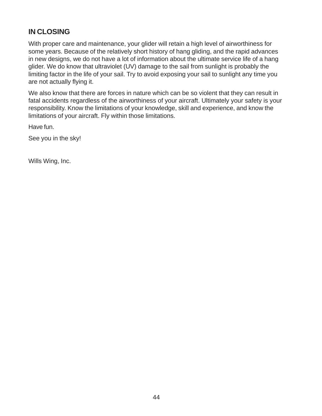### **IN CLOSING**

With proper care and maintenance, your glider will retain a high level of airworthiness for some years. Because of the relatively short history of hang gliding, and the rapid advances in new designs, we do not have a lot of information about the ultimate service life of a hang glider. We do know that ultraviolet (UV) damage to the sail from sunlight is probably the limiting factor in the life of your sail. Try to avoid exposing your sail to sunlight any time you are not actually flying it.

We also know that there are forces in nature which can be so violent that they can result in fatal accidents regardless of the airworthiness of your aircraft. Ultimately your safety is your responsibility. Know the limitations of your knowledge, skill and experience, and know the limitations of your aircraft. Fly within those limitations.

Have fun.

See you in the sky!

Wills Wing, Inc.